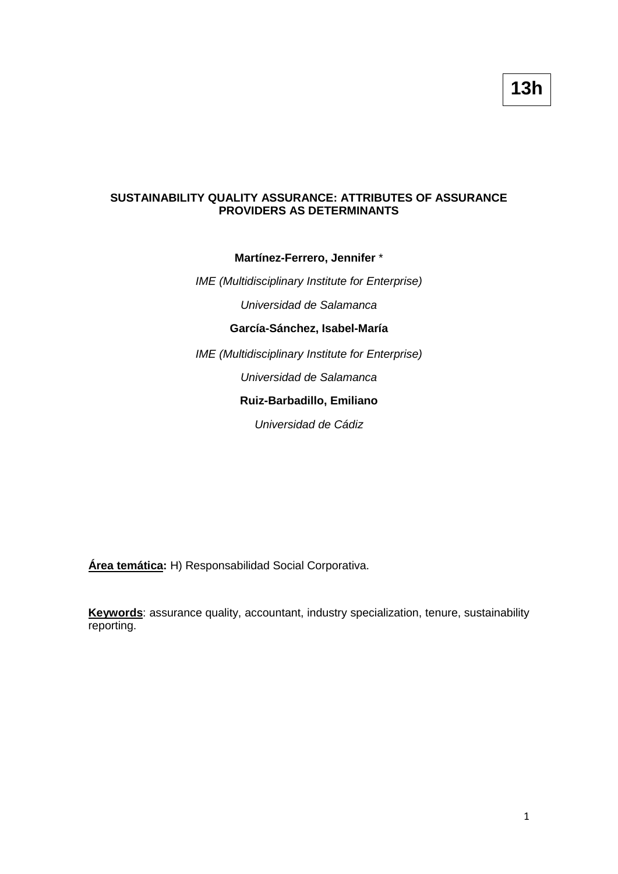## **SUSTAINABILITY QUALITY ASSURANCE: ATTRIBUTES OF ASSURANCE PROVIDERS AS DETERMINANTS**

#### **Martínez-Ferrero, Jennifer** \*

*IME (Multidisciplinary Institute for Enterprise)*

*Universidad de Salamanca*

# **García-Sánchez, Isabel-María**

*IME (Multidisciplinary Institute for Enterprise)*

*Universidad de Salamanca*

## **Ruiz-Barbadillo, Emiliano**

*Universidad de Cádiz*

**Área temática:** H) Responsabilidad Social Corporativa.

**Keywords**: assurance quality, accountant, industry specialization, tenure, sustainability reporting.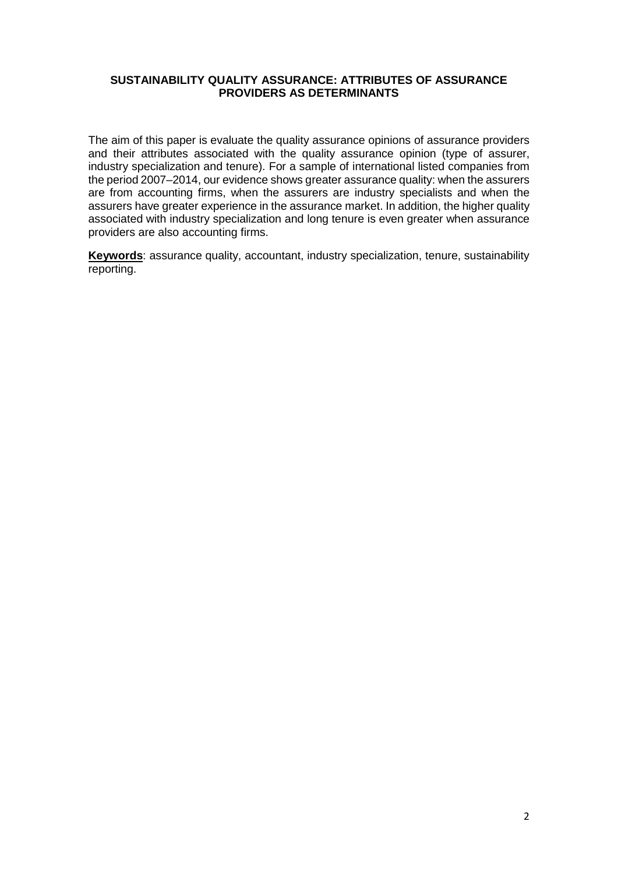### **SUSTAINABILITY QUALITY ASSURANCE: ATTRIBUTES OF ASSURANCE PROVIDERS AS DETERMINANTS**

The aim of this paper is evaluate the quality assurance opinions of assurance providers and their attributes associated with the quality assurance opinion (type of assurer, industry specialization and tenure). For a sample of international listed companies from the period 2007–2014, our evidence shows greater assurance quality: when the assurers are from accounting firms, when the assurers are industry specialists and when the assurers have greater experience in the assurance market. In addition, the higher quality associated with industry specialization and long tenure is even greater when assurance providers are also accounting firms.

**Keywords**: assurance quality, accountant, industry specialization, tenure, sustainability reporting.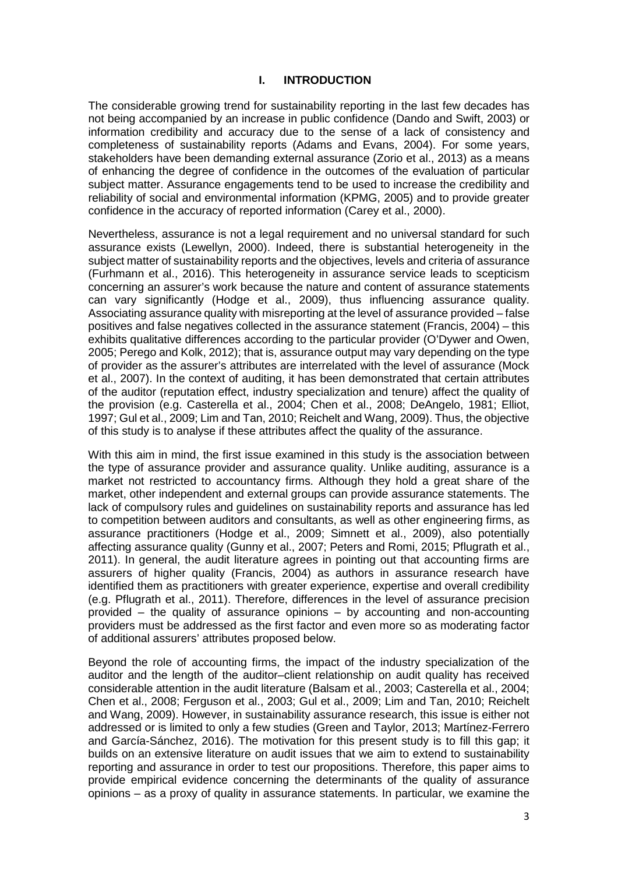#### **I. INTRODUCTION**

The considerable growing trend for sustainability reporting in the last few decades has not being accompanied by an increase in public confidence (Dando and Swift, 2003) or information credibility and accuracy due to the sense of a lack of consistency and completeness of sustainability reports (Adams and Evans, 2004). For some years, stakeholders have been demanding external assurance (Zorio et al., 2013) as a means of enhancing the degree of confidence in the outcomes of the evaluation of particular subject matter. Assurance engagements tend to be used to increase the credibility and reliability of social and environmental information (KPMG, 2005) and to provide greater confidence in the accuracy of reported information (Carey et al., 2000).

Nevertheless, assurance is not a legal requirement and no universal standard for such assurance exists (Lewellyn, 2000). Indeed, there is substantial heterogeneity in the subject matter of sustainability reports and the objectives, levels and criteria of assurance (Furhmann et al., 2016). This heterogeneity in assurance service leads to scepticism concerning an assurer's work because the nature and content of assurance statements can vary significantly (Hodge et al., 2009), thus influencing assurance quality. Associating assurance quality with misreporting at the level of assurance provided – false positives and false negatives collected in the assurance statement (Francis, 2004) – this exhibits qualitative differences according to the particular provider (O'Dywer and Owen, 2005; Perego and Kolk, 2012); that is, assurance output may vary depending on the type of provider as the assurer's attributes are interrelated with the level of assurance (Mock et al., 2007). In the context of auditing, it has been demonstrated that certain attributes of the auditor (reputation effect, industry specialization and tenure) affect the quality of the provision (e.g. Casterella et al., 2004; Chen et al., 2008; DeAngelo, 1981; Elliot, 1997; Gul et al., 2009; Lim and Tan, 2010; Reichelt and Wang, 2009). Thus, the objective of this study is to analyse if these attributes affect the quality of the assurance.

With this aim in mind, the first issue examined in this study is the association between the type of assurance provider and assurance quality. Unlike auditing, assurance is a market not restricted to accountancy firms. Although they hold a great share of the market, other independent and external groups can provide assurance statements. The lack of compulsory rules and guidelines on sustainability reports and assurance has led to competition between auditors and consultants, as well as other engineering firms, as assurance practitioners (Hodge et al., 2009; Simnett et al., 2009), also potentially affecting assurance quality (Gunny et al., 2007; Peters and Romi, 2015; Pflugrath et al., 2011). In general, the audit literature agrees in pointing out that accounting firms are assurers of higher quality (Francis, 2004) as authors in assurance research have identified them as practitioners with greater experience, expertise and overall credibility (e.g. Pflugrath et al., 2011). Therefore, differences in the level of assurance precision provided – the quality of assurance opinions – by accounting and non-accounting providers must be addressed as the first factor and even more so as moderating factor of additional assurers' attributes proposed below.

Beyond the role of accounting firms, the impact of the industry specialization of the auditor and the length of the auditor–client relationship on audit quality has received considerable attention in the audit literature (Balsam et al., 2003; Casterella et al., 2004; Chen et al., 2008; Ferguson et al., 2003; Gul et al., 2009; Lim and Tan, 2010; Reichelt and Wang, 2009). However, in sustainability assurance research, this issue is either not addressed or is limited to only a few studies (Green and Taylor, 2013; Martínez-Ferrero and García-Sánchez, 2016). The motivation for this present study is to fill this gap; it builds on an extensive literature on audit issues that we aim to extend to sustainability reporting and assurance in order to test our propositions. Therefore, this paper aims to provide empirical evidence concerning the determinants of the quality of assurance opinions – as a proxy of quality in assurance statements. In particular, we examine the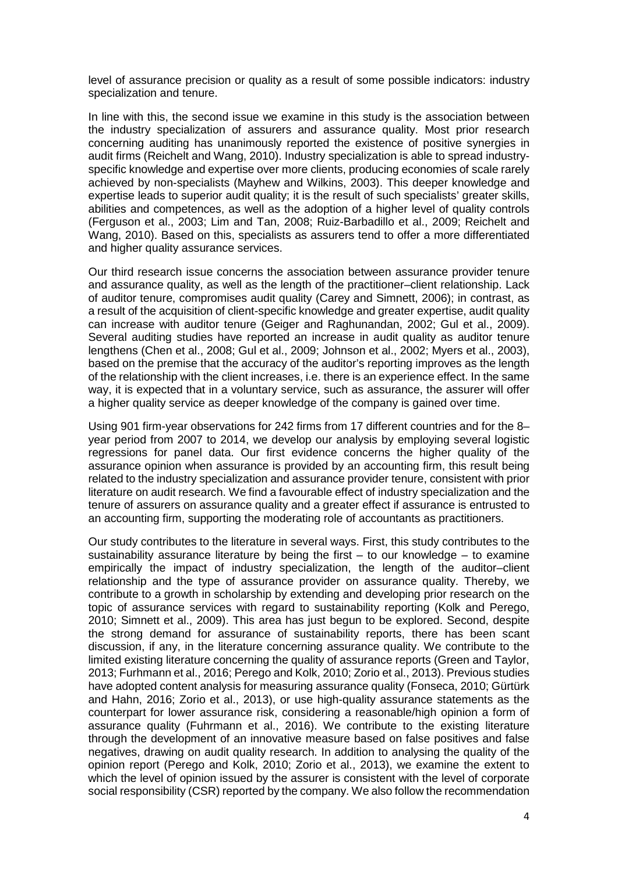level of assurance precision or quality as a result of some possible indicators: industry specialization and tenure.

In line with this, the second issue we examine in this study is the association between the industry specialization of assurers and assurance quality. Most prior research concerning auditing has unanimously reported the existence of positive synergies in audit firms (Reichelt and Wang, 2010). Industry specialization is able to spread industryspecific knowledge and expertise over more clients, producing economies of scale rarely achieved by non-specialists (Mayhew and Wilkins, 2003). This deeper knowledge and expertise leads to superior audit quality; it is the result of such specialists' greater skills, abilities and competences, as well as the adoption of a higher level of quality controls (Ferguson et al., 2003; Lim and Tan, 2008; Ruiz-Barbadillo et al., 2009; Reichelt and Wang, 2010). Based on this, specialists as assurers tend to offer a more differentiated and higher quality assurance services.

Our third research issue concerns the association between assurance provider tenure and assurance quality, as well as the length of the practitioner–client relationship. Lack of auditor tenure, compromises audit quality (Carey and Simnett, 2006); in contrast, as a result of the acquisition of client-specific knowledge and greater expertise, audit quality can increase with auditor tenure (Geiger and Raghunandan, 2002; Gul et al., 2009). Several auditing studies have reported an increase in audit quality as auditor tenure lengthens (Chen et al., 2008; Gul et al., 2009; Johnson et al., 2002; Myers et al., 2003), based on the premise that the accuracy of the auditor's reporting improves as the length of the relationship with the client increases, i.e. there is an experience effect. In the same way, it is expected that in a voluntary service, such as assurance, the assurer will offer a higher quality service as deeper knowledge of the company is gained over time.

Using 901 firm-year observations for 242 firms from 17 different countries and for the 8– year period from 2007 to 2014, we develop our analysis by employing several logistic regressions for panel data. Our first evidence concerns the higher quality of the assurance opinion when assurance is provided by an accounting firm, this result being related to the industry specialization and assurance provider tenure, consistent with prior literature on audit research. We find a favourable effect of industry specialization and the tenure of assurers on assurance quality and a greater effect if assurance is entrusted to an accounting firm, supporting the moderating role of accountants as practitioners.

Our study contributes to the literature in several ways. First, this study contributes to the sustainability assurance literature by being the first  $-$  to our knowledge  $-$  to examine empirically the impact of industry specialization, the length of the auditor–client relationship and the type of assurance provider on assurance quality. Thereby, we contribute to a growth in scholarship by extending and developing prior research on the topic of assurance services with regard to sustainability reporting (Kolk and Perego, 2010; Simnett et al., 2009). This area has just begun to be explored. Second, despite the strong demand for assurance of sustainability reports, there has been scant discussion, if any, in the literature concerning assurance quality. We contribute to the limited existing literature concerning the quality of assurance reports (Green and Taylor, 2013; Furhmann et al., 2016; Perego and Kolk, 2010; Zorio et al., 2013). Previous studies have adopted content analysis for measuring assurance quality (Fonseca, 2010; Gürtürk and Hahn, 2016; Zorio et al., 2013), or use high-quality assurance statements as the counterpart for lower assurance risk, considering a reasonable/high opinion a form of assurance quality (Fuhrmann et al., 2016). We contribute to the existing literature through the development of an innovative measure based on false positives and false negatives, drawing on audit quality research. In addition to analysing the quality of the opinion report (Perego and Kolk, 2010; Zorio et al., 2013), we examine the extent to which the level of opinion issued by the assurer is consistent with the level of corporate social responsibility (CSR) reported by the company. We also follow the recommendation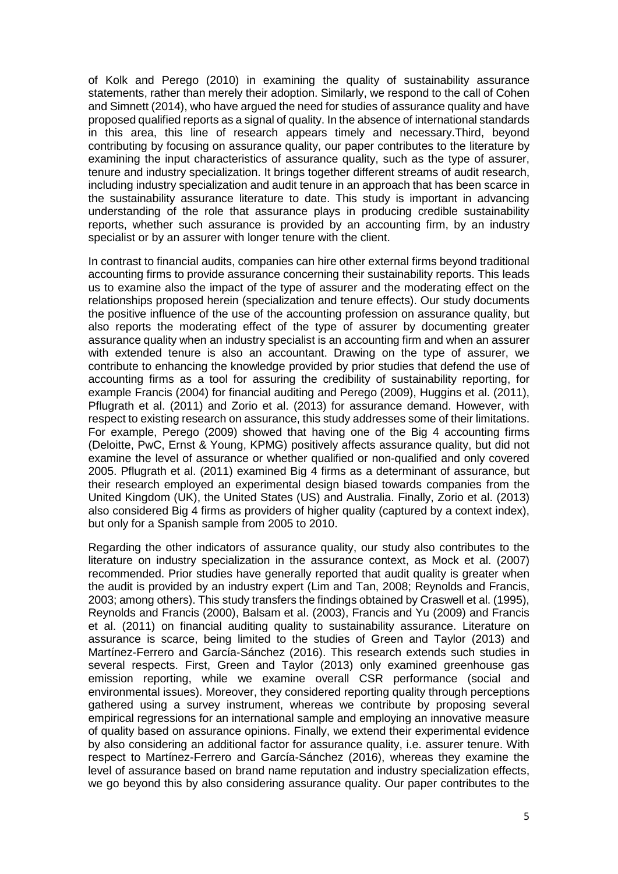of Kolk and Perego (2010) in examining the quality of sustainability assurance statements, rather than merely their adoption. Similarly, we respond to the call of Cohen and Simnett (2014), who have argued the need for studies of assurance quality and have proposed qualified reports as a signal of quality. In the absence of international standards in this area, this line of research appears timely and necessary.Third, beyond contributing by focusing on assurance quality, our paper contributes to the literature by examining the input characteristics of assurance quality, such as the type of assurer, tenure and industry specialization. It brings together different streams of audit research, including industry specialization and audit tenure in an approach that has been scarce in the sustainability assurance literature to date. This study is important in advancing understanding of the role that assurance plays in producing credible sustainability reports, whether such assurance is provided by an accounting firm, by an industry specialist or by an assurer with longer tenure with the client.

In contrast to financial audits, companies can hire other external firms beyond traditional accounting firms to provide assurance concerning their sustainability reports. This leads us to examine also the impact of the type of assurer and the moderating effect on the relationships proposed herein (specialization and tenure effects). Our study documents the positive influence of the use of the accounting profession on assurance quality, but also reports the moderating effect of the type of assurer by documenting greater assurance quality when an industry specialist is an accounting firm and when an assurer with extended tenure is also an accountant. Drawing on the type of assurer, we contribute to enhancing the knowledge provided by prior studies that defend the use of accounting firms as a tool for assuring the credibility of sustainability reporting, for example Francis (2004) for financial auditing and Perego (2009), Huggins et al. (2011), Pflugrath et al. (2011) and Zorio et al. (2013) for assurance demand. However, with respect to existing research on assurance, this study addresses some of their limitations. For example, Perego (2009) showed that having one of the Big 4 accounting firms (Deloitte, PwC, Ernst & Young, KPMG) positively affects assurance quality, but did not examine the level of assurance or whether qualified or non-qualified and only covered 2005. Pflugrath et al. (2011) examined Big 4 firms as a determinant of assurance, but their research employed an experimental design biased towards companies from the United Kingdom (UK), the United States (US) and Australia. Finally, Zorio et al. (2013) also considered Big 4 firms as providers of higher quality (captured by a context index), but only for a Spanish sample from 2005 to 2010.

Regarding the other indicators of assurance quality, our study also contributes to the literature on industry specialization in the assurance context, as Mock et al. (2007) recommended. Prior studies have generally reported that audit quality is greater when the audit is provided by an industry expert (Lim and Tan, 2008; Reynolds and Francis, 2003; among others). This study transfers the findings obtained by Craswell et al. (1995), Reynolds and Francis (2000), Balsam et al. (2003), Francis and Yu (2009) and Francis et al. (2011) on financial auditing quality to sustainability assurance. Literature on assurance is scarce, being limited to the studies of Green and Taylor (2013) and Martínez-Ferrero and García-Sánchez (2016). This research extends such studies in several respects. First, Green and Taylor (2013) only examined greenhouse gas emission reporting, while we examine overall CSR performance (social and environmental issues). Moreover, they considered reporting quality through perceptions gathered using a survey instrument, whereas we contribute by proposing several empirical regressions for an international sample and employing an innovative measure of quality based on assurance opinions. Finally, we extend their experimental evidence by also considering an additional factor for assurance quality, i.e. assurer tenure. With respect to Martínez-Ferrero and García-Sánchez (2016), whereas they examine the level of assurance based on brand name reputation and industry specialization effects, we go beyond this by also considering assurance quality. Our paper contributes to the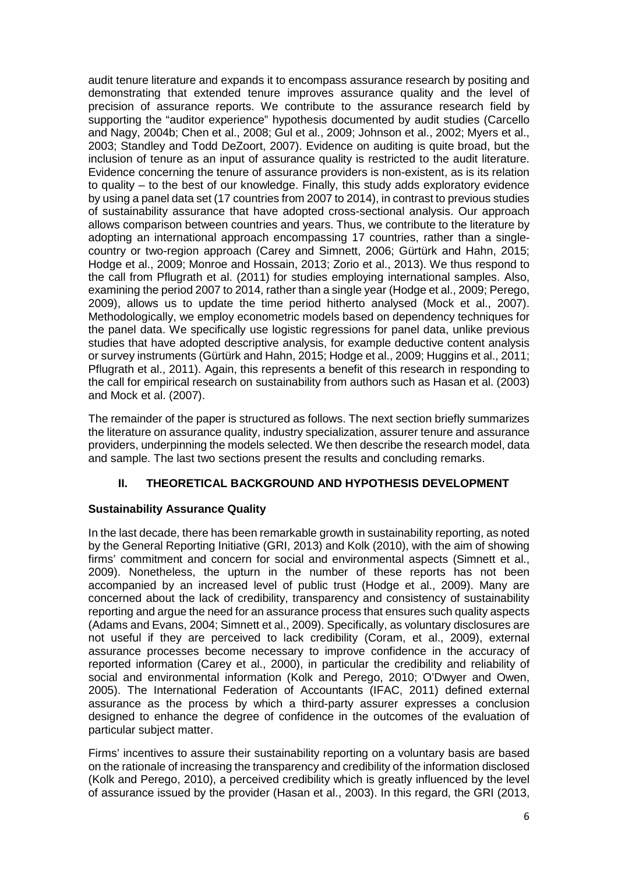audit tenure literature and expands it to encompass assurance research by positing and demonstrating that extended tenure improves assurance quality and the level of precision of assurance reports. We contribute to the assurance research field by supporting the "auditor experience" hypothesis documented by audit studies (Carcello and Nagy, 2004b; Chen et al., 2008; Gul et al., 2009; Johnson et al., 2002; Myers et al., 2003; Standley and Todd DeZoort, 2007). Evidence on auditing is quite broad, but the inclusion of tenure as an input of assurance quality is restricted to the audit literature. Evidence concerning the tenure of assurance providers is non-existent, as is its relation to quality – to the best of our knowledge. Finally, this study adds exploratory evidence by using a panel data set (17 countries from 2007 to 2014), in contrast to previous studies of sustainability assurance that have adopted cross-sectional analysis. Our approach allows comparison between countries and years. Thus, we contribute to the literature by adopting an international approach encompassing 17 countries, rather than a singlecountry or two-region approach (Carey and Simnett, 2006; Gürtürk and Hahn, 2015; Hodge et al., 2009; Monroe and Hossain, 2013; Zorio et al., 2013). We thus respond to the call from Pflugrath et al. (2011) for studies employing international samples. Also, examining the period 2007 to 2014, rather than a single year (Hodge et al., 2009; Perego, 2009), allows us to update the time period hitherto analysed (Mock et al., 2007). Methodologically, we employ econometric models based on dependency techniques for the panel data. We specifically use logistic regressions for panel data, unlike previous studies that have adopted descriptive analysis, for example deductive content analysis or survey instruments (Gürtürk and Hahn, 2015; Hodge et al., 2009; Huggins et al., 2011; Pflugrath et al., 2011). Again, this represents a benefit of this research in responding to the call for empirical research on sustainability from authors such as Hasan et al. (2003) and Mock et al. (2007).

The remainder of the paper is structured as follows. The next section briefly summarizes the literature on assurance quality, industry specialization, assurer tenure and assurance providers, underpinning the models selected. We then describe the research model, data and sample. The last two sections present the results and concluding remarks.

# **II. THEORETICAL BACKGROUND AND HYPOTHESIS DEVELOPMENT**

# **Sustainability Assurance Quality**

In the last decade, there has been remarkable growth in sustainability reporting, as noted by the General Reporting Initiative (GRI, 2013) and Kolk (2010), with the aim of showing firms' commitment and concern for social and environmental aspects (Simnett et al., 2009). Nonetheless, the upturn in the number of these reports has not been accompanied by an increased level of public trust (Hodge et al., 2009). Many are concerned about the lack of credibility, transparency and consistency of sustainability reporting and argue the need for an assurance process that ensures such quality aspects (Adams and Evans, 2004; Simnett et al., 2009). Specifically, as voluntary disclosures are not useful if they are perceived to lack credibility (Coram, et al., 2009), external assurance processes become necessary to improve confidence in the accuracy of reported information (Carey et al., 2000), in particular the credibility and reliability of social and environmental information (Kolk and Perego, 2010; O'Dwyer and Owen, 2005). The International Federation of Accountants (IFAC, 2011) defined external assurance as the process by which a third-party assurer expresses a conclusion designed to enhance the degree of confidence in the outcomes of the evaluation of particular subject matter.

Firms' incentives to assure their sustainability reporting on a voluntary basis are based on the rationale of increasing the transparency and credibility of the information disclosed (Kolk and Perego, 2010), a perceived credibility which is greatly influenced by the level of assurance issued by the provider (Hasan et al., 2003). In this regard, the GRI (2013,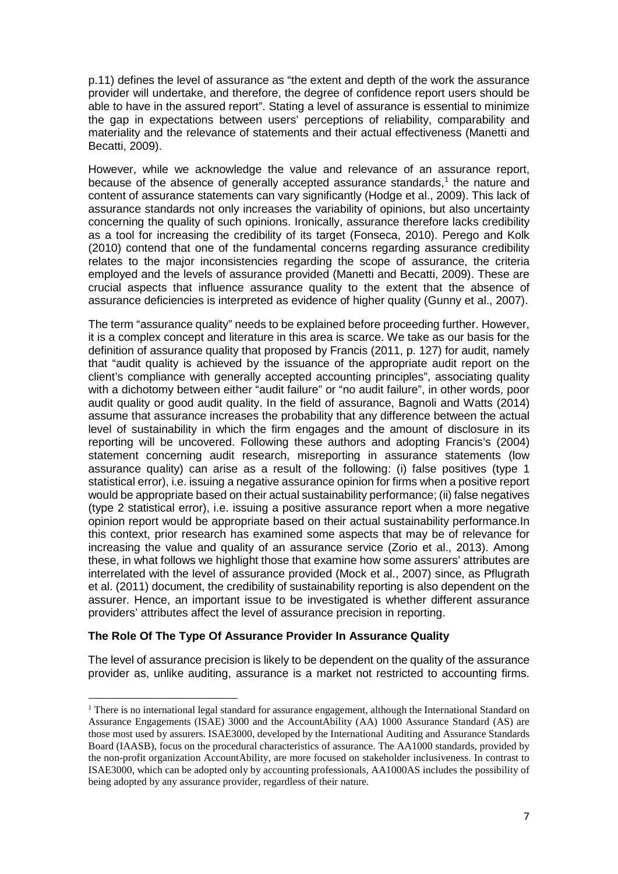p.11) defines the level of assurance as "the extent and depth of the work the assurance provider will undertake, and therefore, the degree of confidence report users should be able to have in the assured report". Stating a level of assurance is essential to minimize the gap in expectations between users' perceptions of reliability, comparability and materiality and the relevance of statements and their actual effectiveness (Manetti and Becatti, 2009).

However, while we acknowledge the value and relevance of an assurance report, because of the absence of generally accepted assurance standards, [1](#page-6-0) the nature and content of assurance statements can vary significantly (Hodge et al., 2009). This lack of assurance standards not only increases the variability of opinions, but also uncertainty concerning the quality of such opinions. Ironically, assurance therefore lacks credibility as a tool for increasing the credibility of its target (Fonseca, 2010). Perego and Kolk (2010) contend that one of the fundamental concerns regarding assurance credibility relates to the major inconsistencies regarding the scope of assurance, the criteria employed and the levels of assurance provided (Manetti and Becatti, 2009). These are crucial aspects that influence assurance quality to the extent that the absence of assurance deficiencies is interpreted as evidence of higher quality (Gunny et al., 2007).

The term "assurance quality" needs to be explained before proceeding further. However, it is a complex concept and literature in this area is scarce. We take as our basis for the definition of assurance quality that proposed by Francis (2011, p. 127) for audit, namely that "audit quality is achieved by the issuance of the appropriate audit report on the client's compliance with generally accepted accounting principles", associating quality with a dichotomy between either "audit failure" or "no audit failure", in other words, poor audit quality or good audit quality. In the field of assurance, Bagnoli and Watts (2014) assume that assurance increases the probability that any difference between the actual level of sustainability in which the firm engages and the amount of disclosure in its reporting will be uncovered. Following these authors and adopting Francis's (2004) statement concerning audit research, misreporting in assurance statements (low assurance quality) can arise as a result of the following: (i) false positives (type 1 statistical error), i.e. issuing a negative assurance opinion for firms when a positive report would be appropriate based on their actual sustainability performance; (ii) false negatives (type 2 statistical error), i.e. issuing a positive assurance report when a more negative opinion report would be appropriate based on their actual sustainability performance.In this context, prior research has examined some aspects that may be of relevance for increasing the value and quality of an assurance service (Zorio et al., 2013). Among these, in what follows we highlight those that examine how some assurers' attributes are interrelated with the level of assurance provided (Mock et al., 2007) since, as Pflugrath et al. (2011) document, the credibility of sustainability reporting is also dependent on the assurer. Hence, an important issue to be investigated is whether different assurance providers' attributes affect the level of assurance precision in reporting.

# **The Role Of The Type Of Assurance Provider In Assurance Quality**

 $\overline{a}$ 

The level of assurance precision is likely to be dependent on the quality of the assurance provider as, unlike auditing, assurance is a market not restricted to accounting firms.

<span id="page-6-0"></span><sup>&</sup>lt;sup>1</sup> There is no international legal standard for assurance engagement, although the International Standard on Assurance Engagements (ISAE) 3000 and the AccountAbility (AA) 1000 Assurance Standard (AS) are those most used by assurers. ISAE3000, developed by the International Auditing and Assurance Standards Board (IAASB), focus on the procedural characteristics of assurance. The AA1000 standards, provided by the non-profit organization AccountAbility, are more focused on stakeholder inclusiveness. In contrast to ISAE3000, which can be adopted only by accounting professionals, AA1000AS includes the possibility of being adopted by any assurance provider, regardless of their nature.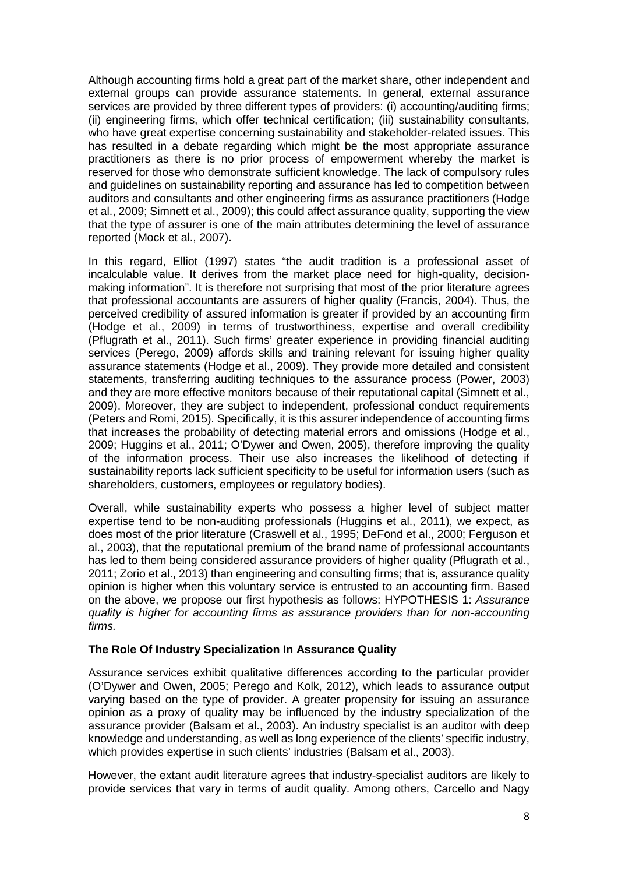Although accounting firms hold a great part of the market share, other independent and external groups can provide assurance statements. In general, external assurance services are provided by three different types of providers: (i) accounting/auditing firms; (ii) engineering firms, which offer technical certification; (iii) sustainability consultants, who have great expertise concerning sustainability and stakeholder-related issues. This has resulted in a debate regarding which might be the most appropriate assurance practitioners as there is no prior process of empowerment whereby the market is reserved for those who demonstrate sufficient knowledge. The lack of compulsory rules and guidelines on sustainability reporting and assurance has led to competition between auditors and consultants and other engineering firms as assurance practitioners (Hodge et al., 2009; Simnett et al., 2009); this could affect assurance quality, supporting the view that the type of assurer is one of the main attributes determining the level of assurance reported (Mock et al., 2007).

In this regard, Elliot (1997) states "the audit tradition is a professional asset of incalculable value. It derives from the market place need for high-quality, decisionmaking information". It is therefore not surprising that most of the prior literature agrees that professional accountants are assurers of higher quality (Francis, 2004). Thus, the perceived credibility of assured information is greater if provided by an accounting firm (Hodge et al., 2009) in terms of trustworthiness, expertise and overall credibility (Pflugrath et al., 2011). Such firms' greater experience in providing financial auditing services (Perego, 2009) affords skills and training relevant for issuing higher quality assurance statements (Hodge et al., 2009). They provide more detailed and consistent statements, transferring auditing techniques to the assurance process (Power, 2003) and they are more effective monitors because of their reputational capital (Simnett et al., 2009). Moreover, they are subject to independent, professional conduct requirements (Peters and Romi, 2015). Specifically, it is this assurer independence of accounting firms that increases the probability of detecting material errors and omissions (Hodge et al., 2009; Huggins et al., 2011; O'Dywer and Owen, 2005), therefore improving the quality of the information process. Their use also increases the likelihood of detecting if sustainability reports lack sufficient specificity to be useful for information users (such as shareholders, customers, employees or regulatory bodies).

Overall, while sustainability experts who possess a higher level of subject matter expertise tend to be non-auditing professionals (Huggins et al., 2011), we expect, as does most of the prior literature (Craswell et al., 1995; DeFond et al., 2000; Ferguson et al., 2003), that the reputational premium of the brand name of professional accountants has led to them being considered assurance providers of higher quality (Pflugrath et al., 2011; Zorio et al., 2013) than engineering and consulting firms; that is, assurance quality opinion is higher when this voluntary service is entrusted to an accounting firm. Based on the above, we propose our first hypothesis as follows: HYPOTHESIS 1: *Assurance quality is higher for accounting firms as assurance providers than for non-accounting firms.*

### **The Role Of Industry Specialization In Assurance Quality**

Assurance services exhibit qualitative differences according to the particular provider (O'Dywer and Owen, 2005; Perego and Kolk, 2012), which leads to assurance output varying based on the type of provider. A greater propensity for issuing an assurance opinion as a proxy of quality may be influenced by the industry specialization of the assurance provider (Balsam et al., 2003). An industry specialist is an auditor with deep knowledge and understanding, as well as long experience of the clients' specific industry, which provides expertise in such clients' industries (Balsam et al., 2003).

However, the extant audit literature agrees that industry-specialist auditors are likely to provide services that vary in terms of audit quality. Among others, Carcello and Nagy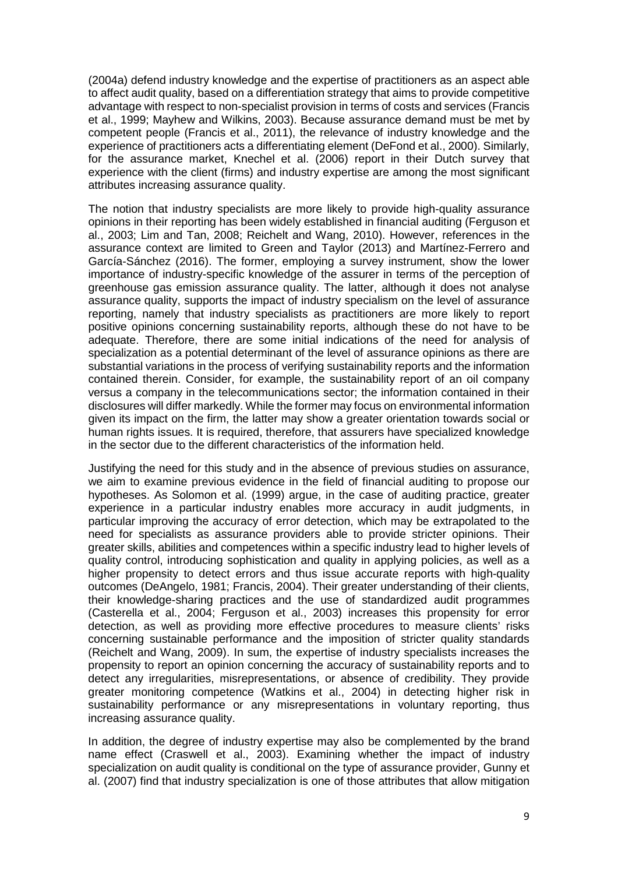(2004a) defend industry knowledge and the expertise of practitioners as an aspect able to affect audit quality, based on a differentiation strategy that aims to provide competitive advantage with respect to non-specialist provision in terms of costs and services (Francis et al., 1999; Mayhew and Wilkins, 2003). Because assurance demand must be met by competent people (Francis et al., 2011), the relevance of industry knowledge and the experience of practitioners acts a differentiating element (DeFond et al., 2000). Similarly, for the assurance market, Knechel et al. (2006) report in their Dutch survey that experience with the client (firms) and industry expertise are among the most significant attributes increasing assurance quality.

The notion that industry specialists are more likely to provide high-quality assurance opinions in their reporting has been widely established in financial auditing (Ferguson et al., 2003; Lim and Tan, 2008; Reichelt and Wang, 2010). However, references in the assurance context are limited to Green and Taylor (2013) and Martínez-Ferrero and García-Sánchez (2016). The former, employing a survey instrument, show the lower importance of industry-specific knowledge of the assurer in terms of the perception of greenhouse gas emission assurance quality. The latter, although it does not analyse assurance quality, supports the impact of industry specialism on the level of assurance reporting, namely that industry specialists as practitioners are more likely to report positive opinions concerning sustainability reports, although these do not have to be adequate. Therefore, there are some initial indications of the need for analysis of specialization as a potential determinant of the level of assurance opinions as there are substantial variations in the process of verifying sustainability reports and the information contained therein. Consider, for example, the sustainability report of an oil company versus a company in the telecommunications sector; the information contained in their disclosures will differ markedly. While the former may focus on environmental information given its impact on the firm, the latter may show a greater orientation towards social or human rights issues. It is required, therefore, that assurers have specialized knowledge in the sector due to the different characteristics of the information held.

Justifying the need for this study and in the absence of previous studies on assurance, we aim to examine previous evidence in the field of financial auditing to propose our hypotheses. As Solomon et al. (1999) argue, in the case of auditing practice, greater experience in a particular industry enables more accuracy in audit judgments, in particular improving the accuracy of error detection, which may be extrapolated to the need for specialists as assurance providers able to provide stricter opinions. Their greater skills, abilities and competences within a specific industry lead to higher levels of quality control, introducing sophistication and quality in applying policies, as well as a higher propensity to detect errors and thus issue accurate reports with high-quality outcomes (DeAngelo, 1981; Francis, 2004). Their greater understanding of their clients, their knowledge-sharing practices and the use of standardized audit programmes (Casterella et al., 2004; Ferguson et al., 2003) increases this propensity for error detection, as well as providing more effective procedures to measure clients' risks concerning sustainable performance and the imposition of stricter quality standards (Reichelt and Wang, 2009). In sum, the expertise of industry specialists increases the propensity to report an opinion concerning the accuracy of sustainability reports and to detect any irregularities, misrepresentations, or absence of credibility. They provide greater monitoring competence (Watkins et al., 2004) in detecting higher risk in sustainability performance or any misrepresentations in voluntary reporting, thus increasing assurance quality.

In addition, the degree of industry expertise may also be complemented by the brand name effect (Craswell et al., 2003). Examining whether the impact of industry specialization on audit quality is conditional on the type of assurance provider, Gunny et al. (2007) find that industry specialization is one of those attributes that allow mitigation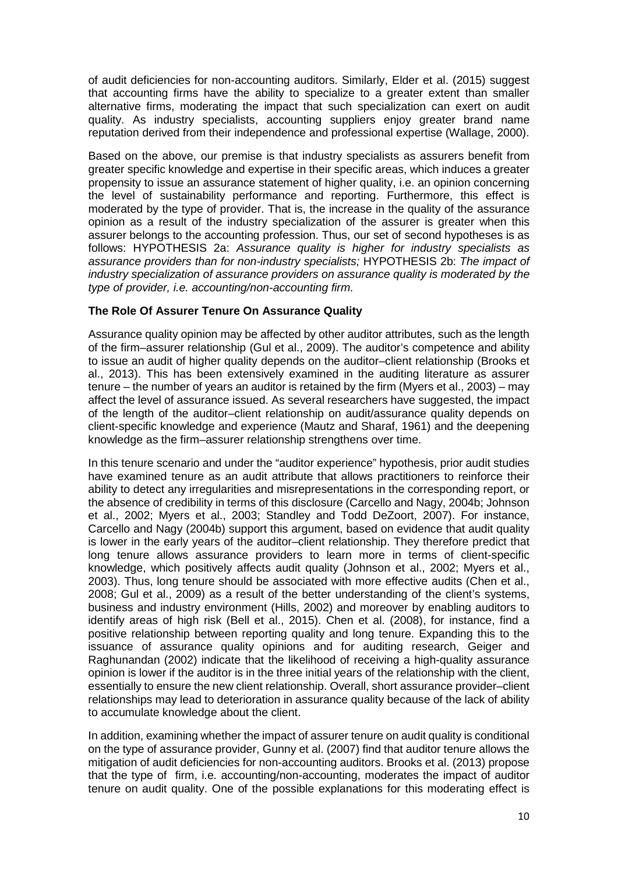of audit deficiencies for non-accounting auditors. Similarly, Elder et al. (2015) suggest that accounting firms have the ability to specialize to a greater extent than smaller alternative firms, moderating the impact that such specialization can exert on audit quality. As industry specialists, accounting suppliers enjoy greater brand name reputation derived from their independence and professional expertise (Wallage, 2000).

Based on the above, our premise is that industry specialists as assurers benefit from greater specific knowledge and expertise in their specific areas, which induces a greater propensity to issue an assurance statement of higher quality, i.e. an opinion concerning the level of sustainability performance and reporting. Furthermore, this effect is moderated by the type of provider. That is, the increase in the quality of the assurance opinion as a result of the industry specialization of the assurer is greater when this assurer belongs to the accounting profession. Thus, our set of second hypotheses is as follows: HYPOTHESIS 2a: *Assurance quality is higher for industry specialists as assurance providers than for non-industry specialists;* HYPOTHESIS 2b: *The impact of industry specialization of assurance providers on assurance quality is moderated by the type of provider, i.e. accounting/non-accounting firm.*

# **The Role Of Assurer Tenure On Assurance Quality**

Assurance quality opinion may be affected by other auditor attributes, such as the length of the firm–assurer relationship (Gul et al., 2009). The auditor's competence and ability to issue an audit of higher quality depends on the auditor–client relationship (Brooks et al., 2013). This has been extensively examined in the auditing literature as assurer tenure – the number of years an auditor is retained by the firm (Myers et al., 2003) – may affect the level of assurance issued. As several researchers have suggested, the impact of the length of the auditor–client relationship on audit/assurance quality depends on client-specific knowledge and experience (Mautz and Sharaf, 1961) and the deepening knowledge as the firm–assurer relationship strengthens over time.

In this tenure scenario and under the "auditor experience" hypothesis, prior audit studies have examined tenure as an audit attribute that allows practitioners to reinforce their ability to detect any irregularities and misrepresentations in the corresponding report, or the absence of credibility in terms of this disclosure (Carcello and Nagy, 2004b; Johnson et al., 2002; Myers et al., 2003; Standley and Todd DeZoort, 2007). For instance, Carcello and Nagy (2004b) support this argument, based on evidence that audit quality is lower in the early years of the auditor–client relationship. They therefore predict that long tenure allows assurance providers to learn more in terms of client-specific knowledge, which positively affects audit quality (Johnson et al., 2002; Myers et al., 2003). Thus, long tenure should be associated with more effective audits (Chen et al., 2008; Gul et al., 2009) as a result of the better understanding of the client's systems, business and industry environment (Hills, 2002) and moreover by enabling auditors to identify areas of high risk (Bell et al., 2015). Chen et al. (2008), for instance, find a positive relationship between reporting quality and long tenure. Expanding this to the issuance of assurance quality opinions and for auditing research, Geiger and Raghunandan (2002) indicate that the likelihood of receiving a high-quality assurance opinion is lower if the auditor is in the three initial years of the relationship with the client, essentially to ensure the new client relationship. Overall, short assurance provider–client relationships may lead to deterioration in assurance quality because of the lack of ability to accumulate knowledge about the client.

In addition, examining whether the impact of assurer tenure on audit quality is conditional on the type of assurance provider, Gunny et al. (2007) find that auditor tenure allows the mitigation of audit deficiencies for non-accounting auditors. Brooks et al. (2013) propose that the type of firm, i.e. accounting/non-accounting, moderates the impact of auditor tenure on audit quality. One of the possible explanations for this moderating effect is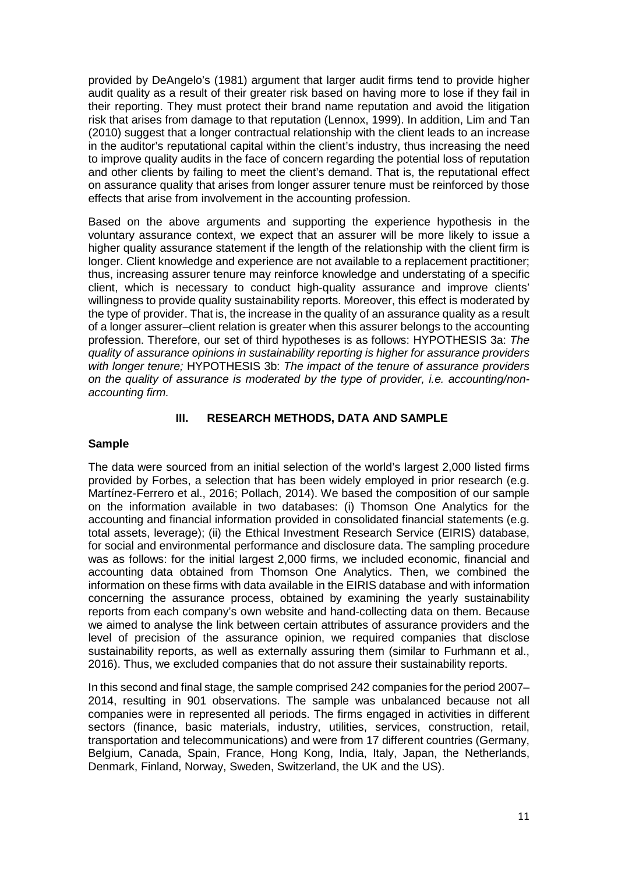provided by DeAngelo's (1981) argument that larger audit firms tend to provide higher audit quality as a result of their greater risk based on having more to lose if they fail in their reporting. They must protect their brand name reputation and avoid the litigation risk that arises from damage to that reputation (Lennox, 1999). In addition, Lim and Tan (2010) suggest that a longer contractual relationship with the client leads to an increase in the auditor's reputational capital within the client's industry, thus increasing the need to improve quality audits in the face of concern regarding the potential loss of reputation and other clients by failing to meet the client's demand. That is, the reputational effect on assurance quality that arises from longer assurer tenure must be reinforced by those effects that arise from involvement in the accounting profession.

Based on the above arguments and supporting the experience hypothesis in the voluntary assurance context, we expect that an assurer will be more likely to issue a higher quality assurance statement if the length of the relationship with the client firm is longer. Client knowledge and experience are not available to a replacement practitioner; thus, increasing assurer tenure may reinforce knowledge and understating of a specific client, which is necessary to conduct high-quality assurance and improve clients' willingness to provide quality sustainability reports. Moreover, this effect is moderated by the type of provider. That is, the increase in the quality of an assurance quality as a result of a longer assurer–client relation is greater when this assurer belongs to the accounting profession. Therefore, our set of third hypotheses is as follows: HYPOTHESIS 3a: *The quality of assurance opinions in sustainability reporting is higher for assurance providers with longer tenure;* HYPOTHESIS 3b: *The impact of the tenure of assurance providers on the quality of assurance is moderated by the type of provider, i.e. accounting/nonaccounting firm.* 

# **III. RESEARCH METHODS, DATA AND SAMPLE**

### **Sample**

The data were sourced from an initial selection of the world's largest 2,000 listed firms provided by Forbes, a selection that has been widely employed in prior research (e.g. Martínez-Ferrero et al., 2016; Pollach, 2014). We based the composition of our sample on the information available in two databases: (i) Thomson One Analytics for the accounting and financial information provided in consolidated financial statements (e.g. total assets, leverage); (ii) the Ethical Investment Research Service (EIRIS) database, for social and environmental performance and disclosure data. The sampling procedure was as follows: for the initial largest 2,000 firms, we included economic, financial and accounting data obtained from Thomson One Analytics. Then, we combined the information on these firms with data available in the EIRIS database and with information concerning the assurance process, obtained by examining the yearly sustainability reports from each company's own website and hand-collecting data on them. Because we aimed to analyse the link between certain attributes of assurance providers and the level of precision of the assurance opinion, we required companies that disclose sustainability reports, as well as externally assuring them (similar to Furhmann et al., 2016). Thus, we excluded companies that do not assure their sustainability reports.

In this second and final stage, the sample comprised 242 companies for the period 2007– 2014, resulting in 901 observations. The sample was unbalanced because not all companies were in represented all periods. The firms engaged in activities in different sectors (finance, basic materials, industry, utilities, services, construction, retail, transportation and telecommunications) and were from 17 different countries (Germany, Belgium, Canada, Spain, France, Hong Kong, India, Italy, Japan, the Netherlands, Denmark, Finland, Norway, Sweden, Switzerland, the UK and the US).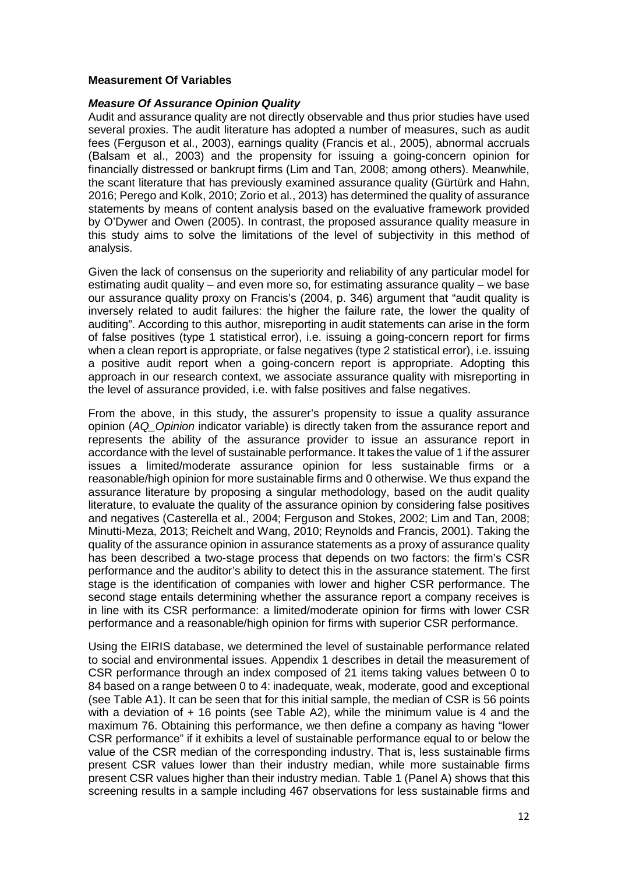#### **Measurement Of Variables**

#### *Measure Of Assurance Opinion Quality*

Audit and assurance quality are not directly observable and thus prior studies have used several proxies. The audit literature has adopted a number of measures, such as audit fees (Ferguson et al., 2003), earnings quality (Francis et al., 2005), abnormal accruals (Balsam et al., 2003) and the propensity for issuing a going-concern opinion for financially distressed or bankrupt firms (Lim and Tan, 2008; among others). Meanwhile, the scant literature that has previously examined assurance quality (Gürtürk and Hahn, 2016; Perego and Kolk, 2010; Zorio et al., 2013) has determined the quality of assurance statements by means of content analysis based on the evaluative framework provided by O'Dywer and Owen (2005). In contrast, the proposed assurance quality measure in this study aims to solve the limitations of the level of subjectivity in this method of analysis.

Given the lack of consensus on the superiority and reliability of any particular model for estimating audit quality – and even more so, for estimating assurance quality – we base our assurance quality proxy on Francis's (2004, p. 346) argument that "audit quality is inversely related to audit failures: the higher the failure rate, the lower the quality of auditing". According to this author, misreporting in audit statements can arise in the form of false positives (type 1 statistical error), i.e. issuing a going-concern report for firms when a clean report is appropriate, or false negatives (type 2 statistical error), i.e. issuing a positive audit report when a going-concern report is appropriate. Adopting this approach in our research context, we associate assurance quality with misreporting in the level of assurance provided, i.e. with false positives and false negatives.

From the above, in this study, the assurer's propensity to issue a quality assurance opinion (*AQ\_Opinion* indicator variable) is directly taken from the assurance report and represents the ability of the assurance provider to issue an assurance report in accordance with the level of sustainable performance. It takes the value of 1 if the assurer issues a limited/moderate assurance opinion for less sustainable firms or a reasonable/high opinion for more sustainable firms and 0 otherwise. We thus expand the assurance literature by proposing a singular methodology, based on the audit quality literature, to evaluate the quality of the assurance opinion by considering false positives and negatives (Casterella et al., 2004; Ferguson and Stokes, 2002; Lim and Tan, 2008; Minutti-Meza, 2013; Reichelt and Wang, 2010; Reynolds and Francis, 2001). Taking the quality of the assurance opinion in assurance statements as a proxy of assurance quality has been described a two-stage process that depends on two factors: the firm's CSR performance and the auditor's ability to detect this in the assurance statement. The first stage is the identification of companies with lower and higher CSR performance. The second stage entails determining whether the assurance report a company receives is in line with its CSR performance: a limited/moderate opinion for firms with lower CSR performance and a reasonable/high opinion for firms with superior CSR performance.

Using the EIRIS database, we determined the level of sustainable performance related to social and environmental issues. Appendix 1 describes in detail the measurement of CSR performance through an index composed of 21 items taking values between 0 to 84 based on a range between 0 to 4: inadequate, weak, moderate, good and exceptional (see Table A1). It can be seen that for this initial sample, the median of CSR is 56 points with a deviation of + 16 points (see Table A2), while the minimum value is 4 and the maximum 76. Obtaining this performance, we then define a company as having "lower CSR performance" if it exhibits a level of sustainable performance equal to or below the value of the CSR median of the corresponding industry. That is, less sustainable firms present CSR values lower than their industry median, while more sustainable firms present CSR values higher than their industry median. Table 1 (Panel A) shows that this screening results in a sample including 467 observations for less sustainable firms and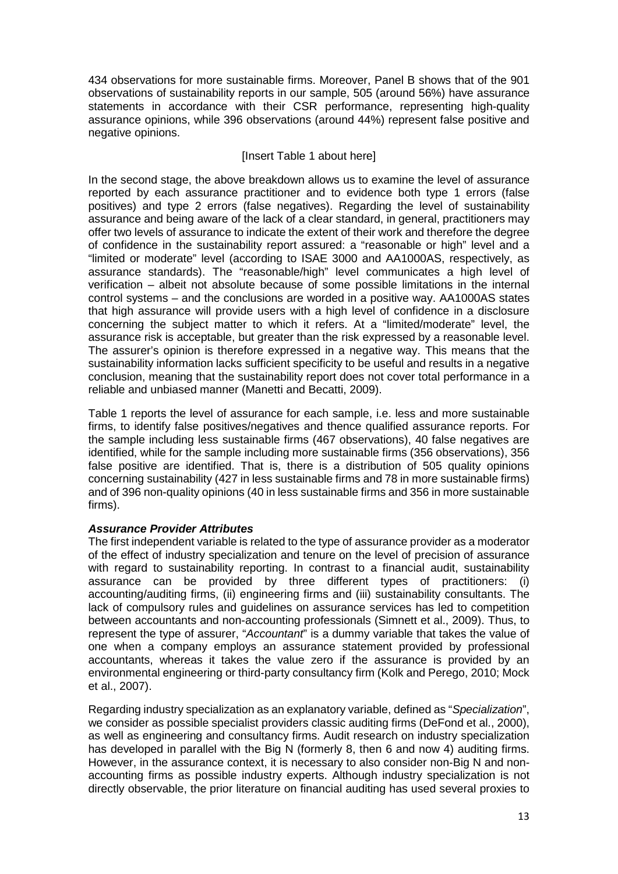434 observations for more sustainable firms. Moreover, Panel B shows that of the 901 observations of sustainability reports in our sample, 505 (around 56%) have assurance statements in accordance with their CSR performance, representing high-quality assurance opinions, while 396 observations (around 44%) represent false positive and negative opinions.

# [Insert Table 1 about here]

In the second stage, the above breakdown allows us to examine the level of assurance reported by each assurance practitioner and to evidence both type 1 errors (false positives) and type 2 errors (false negatives). Regarding the level of sustainability assurance and being aware of the lack of a clear standard, in general, practitioners may offer two levels of assurance to indicate the extent of their work and therefore the degree of confidence in the sustainability report assured: a "reasonable or high" level and a "limited or moderate" level (according to ISAE 3000 and AA1000AS, respectively, as assurance standards). The "reasonable/high" level communicates a high level of verification – albeit not absolute because of some possible limitations in the internal control systems – and the conclusions are worded in a positive way. AA1000AS states that high assurance will provide users with a high level of confidence in a disclosure concerning the subject matter to which it refers. At a "limited/moderate" level, the assurance risk is acceptable, but greater than the risk expressed by a reasonable level. The assurer's opinion is therefore expressed in a negative way. This means that the sustainability information lacks sufficient specificity to be useful and results in a negative conclusion, meaning that the sustainability report does not cover total performance in a reliable and unbiased manner (Manetti and Becatti, 2009).

Table 1 reports the level of assurance for each sample, i.e. less and more sustainable firms, to identify false positives/negatives and thence qualified assurance reports. For the sample including less sustainable firms (467 observations), 40 false negatives are identified, while for the sample including more sustainable firms (356 observations), 356 false positive are identified. That is, there is a distribution of 505 quality opinions concerning sustainability (427 in less sustainable firms and 78 in more sustainable firms) and of 396 non-quality opinions (40 in less sustainable firms and 356 in more sustainable firms).

### *Assurance Provider Attributes*

The first independent variable is related to the type of assurance provider as a moderator of the effect of industry specialization and tenure on the level of precision of assurance with regard to sustainability reporting. In contrast to a financial audit, sustainability assurance can be provided by three different types of practitioners: (i) accounting/auditing firms, (ii) engineering firms and (iii) sustainability consultants. The lack of compulsory rules and guidelines on assurance services has led to competition between accountants and non-accounting professionals (Simnett et al., 2009). Thus, to represent the type of assurer, "*Accountant*" is a dummy variable that takes the value of one when a company employs an assurance statement provided by professional accountants, whereas it takes the value zero if the assurance is provided by an environmental engineering or third-party consultancy firm (Kolk and Perego, 2010; Mock et al., 2007).

Regarding industry specialization as an explanatory variable, defined as "*Specialization*", we consider as possible specialist providers classic auditing firms (DeFond et al., 2000), as well as engineering and consultancy firms. Audit research on industry specialization has developed in parallel with the Big N (formerly 8, then 6 and now 4) auditing firms. However, in the assurance context, it is necessary to also consider non-Big N and nonaccounting firms as possible industry experts. Although industry specialization is not directly observable, the prior literature on financial auditing has used several proxies to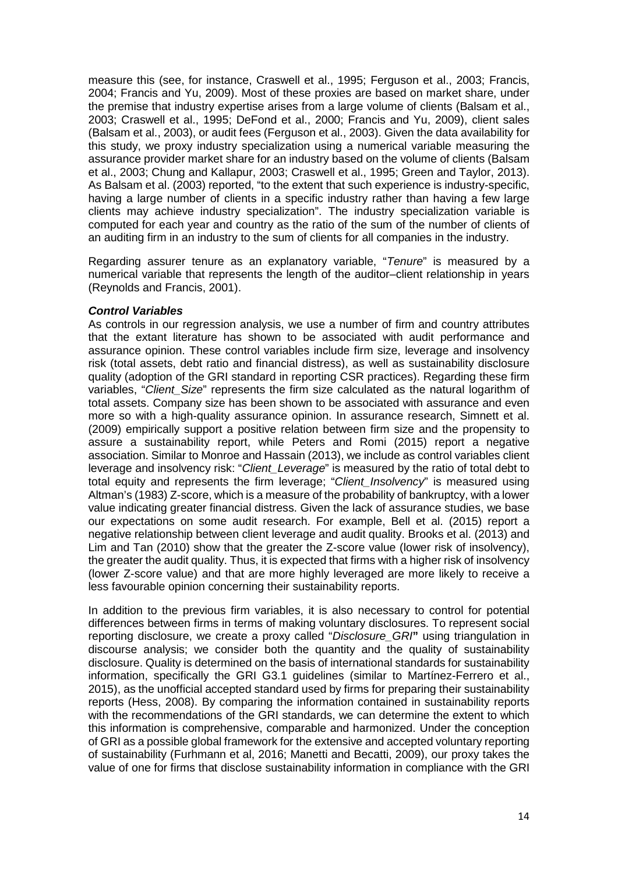measure this (see, for instance, Craswell et al., 1995; Ferguson et al., 2003; Francis, 2004; Francis and Yu, 2009). Most of these proxies are based on market share, under the premise that industry expertise arises from a large volume of clients (Balsam et al., 2003; Craswell et al., 1995; DeFond et al., 2000; Francis and Yu, 2009), client sales (Balsam et al., 2003), or audit fees (Ferguson et al., 2003). Given the data availability for this study, we proxy industry specialization using a numerical variable measuring the assurance provider market share for an industry based on the volume of clients (Balsam et al., 2003; Chung and Kallapur, 2003; Craswell et al., 1995; Green and Taylor, 2013). As Balsam et al. (2003) reported, "to the extent that such experience is industry-specific, having a large number of clients in a specific industry rather than having a few large clients may achieve industry specialization". The industry specialization variable is computed for each year and country as the ratio of the sum of the number of clients of an auditing firm in an industry to the sum of clients for all companies in the industry.

Regarding assurer tenure as an explanatory variable, "*Tenure*" is measured by a numerical variable that represents the length of the auditor–client relationship in years (Reynolds and Francis, 2001).

#### *Control Variables*

As controls in our regression analysis, we use a number of firm and country attributes that the extant literature has shown to be associated with audit performance and assurance opinion. These control variables include firm size, leverage and insolvency risk (total assets, debt ratio and financial distress), as well as sustainability disclosure quality (adoption of the GRI standard in reporting CSR practices). Regarding these firm variables, "*Client\_Size*" represents the firm size calculated as the natural logarithm of total assets. Company size has been shown to be associated with assurance and even more so with a high-quality assurance opinion. In assurance research, Simnett et al. (2009) empirically support a positive relation between firm size and the propensity to assure a sustainability report, while Peters and Romi (2015) report a negative association. Similar to Monroe and Hassain (2013), we include as control variables client leverage and insolvency risk: "*Client\_Leverage*" is measured by the ratio of total debt to total equity and represents the firm leverage; "*Client\_Insolvency*" is measured using Altman's (1983) Z-score, which is a measure of the probability of bankruptcy, with a lower value indicating greater financial distress. Given the lack of assurance studies, we base our expectations on some audit research. For example, Bell et al. (2015) report a negative relationship between client leverage and audit quality. Brooks et al. (2013) and Lim and Tan (2010) show that the greater the Z-score value (lower risk of insolvency), the greater the audit quality. Thus, it is expected that firms with a higher risk of insolvency (lower Z-score value) and that are more highly leveraged are more likely to receive a less favourable opinion concerning their sustainability reports.

In addition to the previous firm variables, it is also necessary to control for potential differences between firms in terms of making voluntary disclosures. To represent social reporting disclosure, we create a proxy called "*Disclosure\_GRI***"** using triangulation in discourse analysis; we consider both the quantity and the quality of sustainability disclosure. Quality is determined on the basis of international standards for sustainability information, specifically the GRI G3.1 guidelines (similar to Martínez-Ferrero et al., 2015), as the unofficial accepted standard used by firms for preparing their sustainability reports (Hess, 2008). By comparing the information contained in sustainability reports with the recommendations of the GRI standards, we can determine the extent to which this information is comprehensive, comparable and harmonized. Under the conception of GRI as a possible global framework for the extensive and accepted voluntary reporting of sustainability (Furhmann et al, 2016; Manetti and Becatti, 2009), our proxy takes the value of one for firms that disclose sustainability information in compliance with the GRI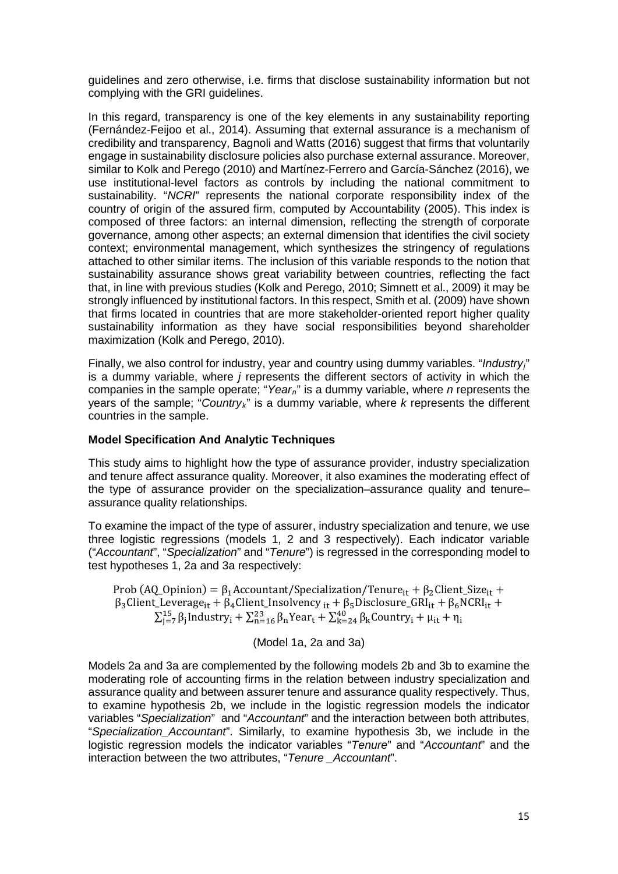guidelines and zero otherwise, i.e. firms that disclose sustainability information but not complying with the GRI guidelines.

In this regard, transparency is one of the key elements in any sustainability reporting (Fernández-Feijoo et al., 2014). Assuming that external assurance is a mechanism of credibility and transparency, Bagnoli and Watts (2016) suggest that firms that voluntarily engage in sustainability disclosure policies also purchase external assurance. Moreover, similar to Kolk and Perego (2010) and Martínez-Ferrero and García-Sánchez (2016), we use institutional-level factors as controls by including the national commitment to sustainability. "*NCRI*" represents the national corporate responsibility index of the country of origin of the assured firm, computed by Accountability (2005). This index is composed of three factors: an internal dimension, reflecting the strength of corporate governance, among other aspects; an external dimension that identifies the civil society context; environmental management, which synthesizes the stringency of regulations attached to other similar items. The inclusion of this variable responds to the notion that sustainability assurance shows great variability between countries, reflecting the fact that, in line with previous studies (Kolk and Perego, 2010; Simnett et al., 2009) it may be strongly influenced by institutional factors. In this respect, Smith et al. (2009) have shown that firms located in countries that are more stakeholder-oriented report higher quality sustainability information as they have social responsibilities beyond shareholder maximization (Kolk and Perego, 2010).

Finally, we also control for industry, year and country using dummy variables. "*Industryj*" is a dummy variable, where *j* represents the different sectors of activity in which the companies in the sample operate; "*Yearn*" is a dummy variable, where *n* represents the years of the sample; "*Countryk*" is a dummy variable, where *k* represents the different countries in the sample.

### **Model Specification And Analytic Techniques**

This study aims to highlight how the type of assurance provider, industry specialization and tenure affect assurance quality. Moreover, it also examines the moderating effect of the type of assurance provider on the specialization–assurance quality and tenure– assurance quality relationships.

To examine the impact of the type of assurer, industry specialization and tenure, we use three logistic regressions (models 1, 2 and 3 respectively). Each indicator variable ("*Accountant*", "*Specialization*" and "*Tenure*") is regressed in the corresponding model to test hypotheses 1, 2a and 3a respectively:

Prob (AQ\_Opinion) =  $\beta_1$ Accountant/Specialization/Tenure<sub>it</sub> +  $\beta_2$ Client\_Size<sub>it</sub> +  $\beta_3$ Client\_Leverage<sub>it</sub> +  $\beta_4$ Client\_Insolvency <sub>it</sub> +  $\beta_5$ Disclosure\_GRI<sub>it</sub> +  $\beta_6$ NCRI<sub>it</sub> +  $\sum_{j=7}^{15} \beta_j$ Industry<sub>i</sub> +  $\sum_{n=16}^{23} \beta_n$ Year<sub>t</sub> +  $\sum_{k=24}^{40} \beta_k$ Country<sub>i</sub> +  $\mu_{it}$  +  $\eta_i$ 

(Model 1a, 2a and 3a)

Models 2a and 3a are complemented by the following models 2b and 3b to examine the moderating role of accounting firms in the relation between industry specialization and assurance quality and between assurer tenure and assurance quality respectively. Thus, to examine hypothesis 2b, we include in the logistic regression models the indicator variables "*Specialization*" and "*Accountant*" and the interaction between both attributes, "*Specialization\_Accountant*". Similarly, to examine hypothesis 3b, we include in the logistic regression models the indicator variables "*Tenure*" and "*Accountant*" and the interaction between the two attributes, "*Tenure \_Accountant*".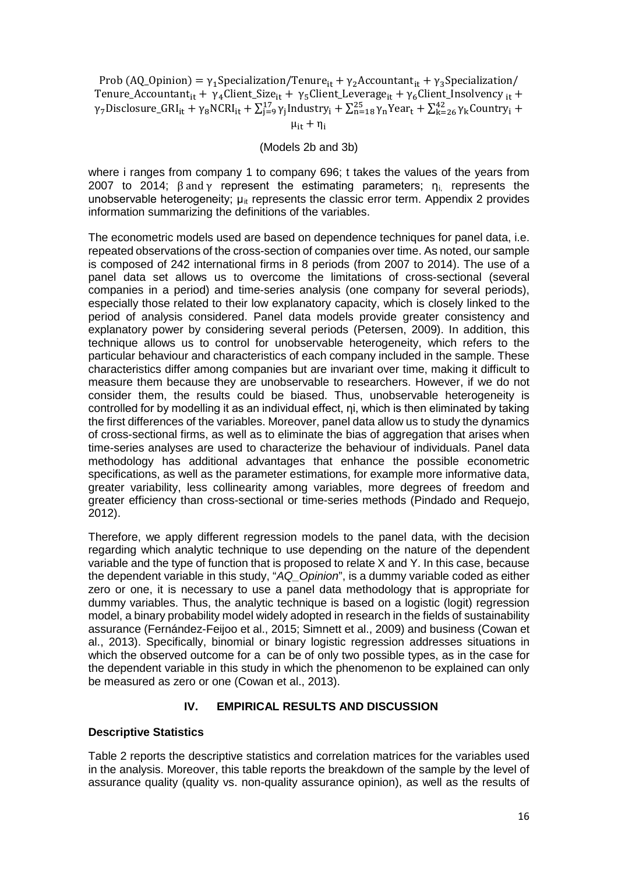Prob (AQ\_Opinion) =  $\gamma_1$ Specialization/Tenure<sub>it</sub> +  $\gamma_2$ Accountant<sub>it</sub> +  $\gamma_3$ Specialization/ Tenure\_Accountant<sub>it</sub> +  $\gamma_4$ Client\_Size<sub>it</sub> +  $\gamma_5$ Client\_Leverage<sub>it</sub> +  $\gamma_6$ Client\_Insolvency <sub>it</sub> +  $\gamma_7$ Disclosure\_GRI<sub>it</sub> +  $\gamma_8$ NCRI<sub>it</sub> +  $\sum_{j=9}^{17} \gamma_j$ Industry<sub>i</sub> +  $\sum_{n=18}^{25} \gamma_n$ Year<sub>t</sub> +  $\sum_{k=26}^{42} \gamma_k$ Country<sub>i</sub> +

 $\mu_{i}$  +  $\eta_i$ 

#### (Models 2b and 3b)

where i ranges from company 1 to company 696; t takes the values of the years from 2007 to 2014;  $\beta$  and  $\gamma$  represent the estimating parameters;  $\eta_i$  represents the unobservable heterogeneity;  $\mu_{it}$  represents the classic error term. Appendix 2 provides information summarizing the definitions of the variables.

The econometric models used are based on dependence techniques for panel data, i.e. repeated observations of the cross-section of companies over time. As noted, our sample is composed of 242 international firms in 8 periods (from 2007 to 2014). The use of a panel data set allows us to overcome the limitations of cross-sectional (several companies in a period) and time-series analysis (one company for several periods), especially those related to their low explanatory capacity, which is closely linked to the period of analysis considered. Panel data models provide greater consistency and explanatory power by considering several periods (Petersen, 2009). In addition, this technique allows us to control for unobservable heterogeneity, which refers to the particular behaviour and characteristics of each company included in the sample. These characteristics differ among companies but are invariant over time, making it difficult to measure them because they are unobservable to researchers. However, if we do not consider them, the results could be biased. Thus, unobservable heterogeneity is controlled for by modelling it as an individual effect, ηi, which is then eliminated by taking the first differences of the variables. Moreover, panel data allow us to study the dynamics of cross-sectional firms, as well as to eliminate the bias of aggregation that arises when time-series analyses are used to characterize the behaviour of individuals. Panel data methodology has additional advantages that enhance the possible econometric specifications, as well as the parameter estimations, for example more informative data, greater variability, less collinearity among variables, more degrees of freedom and greater efficiency than cross-sectional or time-series methods (Pindado and Requejo, 2012).

Therefore, we apply different regression models to the panel data, with the decision regarding which analytic technique to use depending on the nature of the dependent variable and the type of function that is proposed to relate X and Y. In this case, because the dependent variable in this study, "*AQ\_Opinion*", is a dummy variable coded as either zero or one, it is necessary to use a panel data methodology that is appropriate for dummy variables. Thus, the analytic technique is based on a logistic (logit) regression model, a binary probability model widely adopted in research in the fields of sustainability assurance (Fernández-Feijoo et al., 2015; Simnett et al., 2009) and business (Cowan et al., 2013). Specifically, binomial or binary logistic regression addresses situations in which the observed outcome for a can be of only two possible types, as in the case for the dependent variable in this study in which the phenomenon to be explained can only be measured as zero or one (Cowan et al., 2013).

# **IV. EMPIRICAL RESULTS AND DISCUSSION**

### **Descriptive Statistics**

Table 2 reports the descriptive statistics and correlation matrices for the variables used in the analysis. Moreover, this table reports the breakdown of the sample by the level of assurance quality (quality vs. non-quality assurance opinion), as well as the results of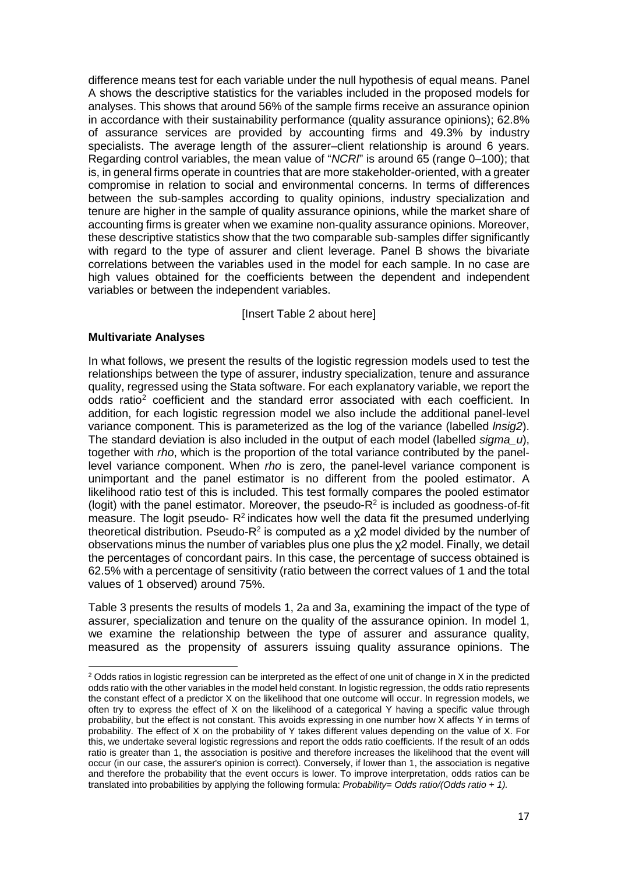difference means test for each variable under the null hypothesis of equal means. Panel A shows the descriptive statistics for the variables included in the proposed models for analyses. This shows that around 56% of the sample firms receive an assurance opinion in accordance with their sustainability performance (quality assurance opinions); 62.8% of assurance services are provided by accounting firms and 49.3% by industry specialists. The average length of the assurer–client relationship is around 6 years. Regarding control variables, the mean value of "*NCRI*" is around 65 (range 0–100); that is, in general firms operate in countries that are more stakeholder-oriented, with a greater compromise in relation to social and environmental concerns. In terms of differences between the sub-samples according to quality opinions, industry specialization and tenure are higher in the sample of quality assurance opinions, while the market share of accounting firms is greater when we examine non-quality assurance opinions. Moreover, these descriptive statistics show that the two comparable sub-samples differ significantly with regard to the type of assurer and client leverage. Panel B shows the bivariate correlations between the variables used in the model for each sample. In no case are high values obtained for the coefficients between the dependent and independent variables or between the independent variables.

[Insert Table 2 about here]

### **Multivariate Analyses**

 $\overline{a}$ 

In what follows, we present the results of the logistic regression models used to test the relationships between the type of assurer, industry specialization, tenure and assurance quality, regressed using the Stata software. For each explanatory variable, we report the odds ratio<sup>[2](#page-16-0)</sup> coefficient and the standard error associated with each coefficient. In addition, for each logistic regression model we also include the additional panel-level variance component. This is parameterized as the log of the variance (labelled *lnsig2*). The standard deviation is also included in the output of each model (labelled *sigma\_u*), together with *rho*, which is the proportion of the total variance contributed by the panellevel variance component. When *rho* is zero, the panel-level variance component is unimportant and the panel estimator is no different from the pooled estimator. A likelihood ratio test of this is included. This test formally compares the pooled estimator (logit) with the panel estimator. Moreover, the pseudo- $R^2$  is included as goodness-of-fit measure. The logit pseudo- $R^2$  indicates how well the data fit the presumed underlying theoretical distribution. Pseudo- $R^2$  is computed as a  $\chi$ 2 model divided by the number of observations minus the number of variables plus one plus the χ2 model. Finally, we detail the percentages of concordant pairs. In this case, the percentage of success obtained is 62.5% with a percentage of sensitivity (ratio between the correct values of 1 and the total values of 1 observed) around 75%.

Table 3 presents the results of models 1, 2a and 3a, examining the impact of the type of assurer, specialization and tenure on the quality of the assurance opinion. In model 1, we examine the relationship between the type of assurer and assurance quality, measured as the propensity of assurers issuing quality assurance opinions. The

<span id="page-16-0"></span> $2$  Odds ratios in logistic regression can be interpreted as the effect of one unit of change in X in the predicted odds ratio with the other variables in the model held constant. In logistic regression, the odds ratio represents the constant effect of a predictor X on the likelihood that one outcome will occur. In regression models, we often try to express the effect of X on the likelihood of a categorical Y having a specific value through probability, but the effect is not constant. This avoids expressing in one number how X affects Y in terms of probability. The effect of X on the probability of Y takes different values depending on the value of X. For this, we undertake several logistic regressions and report the odds ratio coefficients. If the result of an odds ratio is greater than 1, the association is positive and therefore increases the likelihood that the event will occur (in our case, the assurer's opinion is correct). Conversely, if lower than 1, the association is negative and therefore the probability that the event occurs is lower. To improve interpretation, odds ratios can be translated into probabilities by applying the following formula: *Probability= Odds ratio/(Odds ratio + 1).*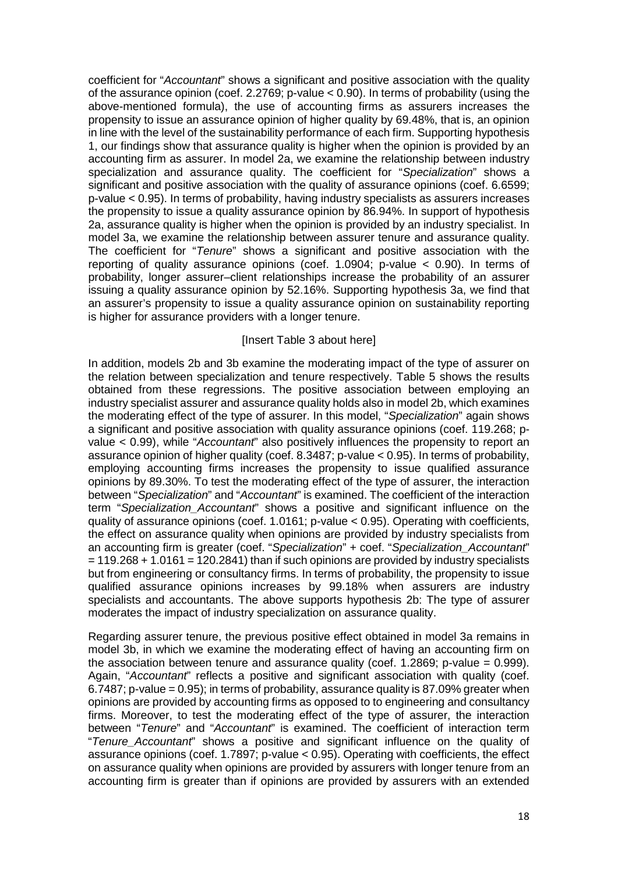coefficient for "*Accountant*" shows a significant and positive association with the quality of the assurance opinion (coef. 2.2769; p-value < 0.90). In terms of probability (using the above-mentioned formula), the use of accounting firms as assurers increases the propensity to issue an assurance opinion of higher quality by 69.48%, that is, an opinion in line with the level of the sustainability performance of each firm. Supporting hypothesis 1, our findings show that assurance quality is higher when the opinion is provided by an accounting firm as assurer. In model 2a, we examine the relationship between industry specialization and assurance quality. The coefficient for "*Specialization*" shows a significant and positive association with the quality of assurance opinions (coef. 6.6599; p-value < 0.95). In terms of probability, having industry specialists as assurers increases the propensity to issue a quality assurance opinion by 86.94%. In support of hypothesis 2a, assurance quality is higher when the opinion is provided by an industry specialist. In model 3a, we examine the relationship between assurer tenure and assurance quality. The coefficient for "*Tenure*" shows a significant and positive association with the reporting of quality assurance opinions (coef. 1.0904; p-value < 0.90). In terms of probability, longer assurer–client relationships increase the probability of an assurer issuing a quality assurance opinion by 52.16%. Supporting hypothesis 3a, we find that an assurer's propensity to issue a quality assurance opinion on sustainability reporting is higher for assurance providers with a longer tenure.

### [Insert Table 3 about here]

In addition, models 2b and 3b examine the moderating impact of the type of assurer on the relation between specialization and tenure respectively. Table 5 shows the results obtained from these regressions. The positive association between employing an industry specialist assurer and assurance quality holds also in model 2b, which examines the moderating effect of the type of assurer. In this model, "*Specialization*" again shows a significant and positive association with quality assurance opinions (coef. 119.268; pvalue < 0.99), while "*Accountant*" also positively influences the propensity to report an assurance opinion of higher quality (coef. 8.3487; p-value < 0.95). In terms of probability, employing accounting firms increases the propensity to issue qualified assurance opinions by 89.30%. To test the moderating effect of the type of assurer, the interaction between "*Specialization*" and "*Accountant*" is examined. The coefficient of the interaction term "*Specialization\_Accountant*" shows a positive and significant influence on the quality of assurance opinions (coef. 1.0161; p-value < 0.95). Operating with coefficients, the effect on assurance quality when opinions are provided by industry specialists from an accounting firm is greater (coef. "*Specialization*" + coef. "*Specialization\_Accountant*"  $= 119.268 + 1.0161 = 120.2841$ ) than if such opinions are provided by industry specialists but from engineering or consultancy firms. In terms of probability, the propensity to issue qualified assurance opinions increases by 99.18% when assurers are industry specialists and accountants. The above supports hypothesis 2b: The type of assurer moderates the impact of industry specialization on assurance quality.

Regarding assurer tenure, the previous positive effect obtained in model 3a remains in model 3b, in which we examine the moderating effect of having an accounting firm on the association between tenure and assurance quality (coef.  $1.2869$ ; p-value = 0.999). Again, "*Accountant*" reflects a positive and significant association with quality (coef. 6.7487; p-value = 0.95); in terms of probability, assurance quality is 87.09% greater when opinions are provided by accounting firms as opposed to to engineering and consultancy firms. Moreover, to test the moderating effect of the type of assurer, the interaction between "*Tenure*" and "*Accountant*" is examined. The coefficient of interaction term "*Tenure\_Accountant*" shows a positive and significant influence on the quality of assurance opinions (coef. 1.7897; p-value < 0.95). Operating with coefficients, the effect on assurance quality when opinions are provided by assurers with longer tenure from an accounting firm is greater than if opinions are provided by assurers with an extended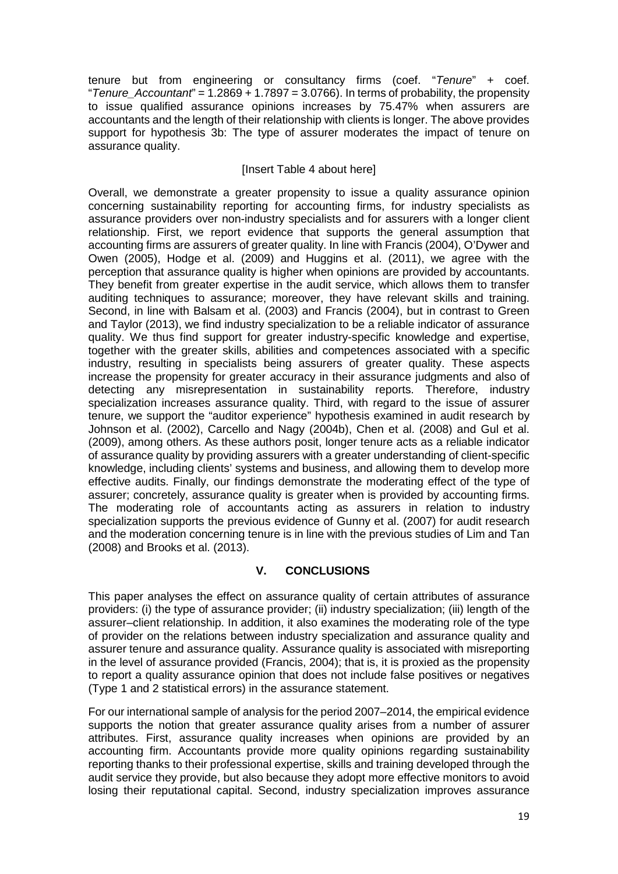tenure but from engineering or consultancy firms (coef. "*Tenure*" + coef. "*Tenure\_Accountant*" = 1.2869 + 1.7897 = 3.0766). In terms of probability, the propensity to issue qualified assurance opinions increases by 75.47% when assurers are accountants and the length of their relationship with clients is longer. The above provides support for hypothesis 3b: The type of assurer moderates the impact of tenure on assurance quality.

# [Insert Table 4 about here]

Overall, we demonstrate a greater propensity to issue a quality assurance opinion concerning sustainability reporting for accounting firms, for industry specialists as assurance providers over non-industry specialists and for assurers with a longer client relationship. First, we report evidence that supports the general assumption that accounting firms are assurers of greater quality. In line with Francis (2004), O'Dywer and Owen (2005), Hodge et al. (2009) and Huggins et al. (2011), we agree with the perception that assurance quality is higher when opinions are provided by accountants. They benefit from greater expertise in the audit service, which allows them to transfer auditing techniques to assurance; moreover, they have relevant skills and training. Second, in line with Balsam et al. (2003) and Francis (2004), but in contrast to Green and Taylor (2013), we find industry specialization to be a reliable indicator of assurance quality. We thus find support for greater industry-specific knowledge and expertise, together with the greater skills, abilities and competences associated with a specific industry, resulting in specialists being assurers of greater quality. These aspects increase the propensity for greater accuracy in their assurance judgments and also of detecting any misrepresentation in sustainability reports. Therefore, industry specialization increases assurance quality. Third, with regard to the issue of assurer tenure, we support the "auditor experience" hypothesis examined in audit research by Johnson et al. (2002), Carcello and Nagy (2004b), Chen et al. (2008) and Gul et al. (2009), among others. As these authors posit, longer tenure acts as a reliable indicator of assurance quality by providing assurers with a greater understanding of client-specific knowledge, including clients' systems and business, and allowing them to develop more effective audits. Finally, our findings demonstrate the moderating effect of the type of assurer; concretely, assurance quality is greater when is provided by accounting firms. The moderating role of accountants acting as assurers in relation to industry specialization supports the previous evidence of Gunny et al. (2007) for audit research and the moderation concerning tenure is in line with the previous studies of Lim and Tan (2008) and Brooks et al. (2013).

# **V. CONCLUSIONS**

This paper analyses the effect on assurance quality of certain attributes of assurance providers: (i) the type of assurance provider; (ii) industry specialization; (iii) length of the assurer–client relationship. In addition, it also examines the moderating role of the type of provider on the relations between industry specialization and assurance quality and assurer tenure and assurance quality. Assurance quality is associated with misreporting in the level of assurance provided (Francis, 2004); that is, it is proxied as the propensity to report a quality assurance opinion that does not include false positives or negatives (Type 1 and 2 statistical errors) in the assurance statement.

For our international sample of analysis for the period 2007–2014, the empirical evidence supports the notion that greater assurance quality arises from a number of assurer attributes. First, assurance quality increases when opinions are provided by an accounting firm. Accountants provide more quality opinions regarding sustainability reporting thanks to their professional expertise, skills and training developed through the audit service they provide, but also because they adopt more effective monitors to avoid losing their reputational capital. Second, industry specialization improves assurance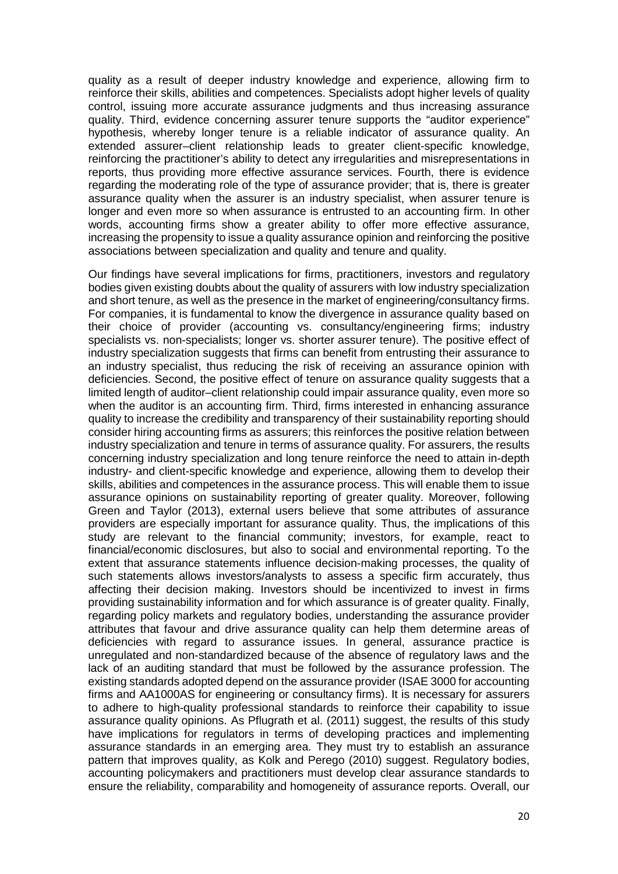quality as a result of deeper industry knowledge and experience, allowing firm to reinforce their skills, abilities and competences. Specialists adopt higher levels of quality control, issuing more accurate assurance judgments and thus increasing assurance quality. Third, evidence concerning assurer tenure supports the "auditor experience" hypothesis, whereby longer tenure is a reliable indicator of assurance quality. An extended assurer–client relationship leads to greater client-specific knowledge, reinforcing the practitioner's ability to detect any irregularities and misrepresentations in reports, thus providing more effective assurance services. Fourth, there is evidence regarding the moderating role of the type of assurance provider; that is, there is greater assurance quality when the assurer is an industry specialist, when assurer tenure is longer and even more so when assurance is entrusted to an accounting firm. In other words, accounting firms show a greater ability to offer more effective assurance, increasing the propensity to issue a quality assurance opinion and reinforcing the positive associations between specialization and quality and tenure and quality.

Our findings have several implications for firms, practitioners, investors and regulatory bodies given existing doubts about the quality of assurers with low industry specialization and short tenure, as well as the presence in the market of engineering/consultancy firms. For companies, it is fundamental to know the divergence in assurance quality based on their choice of provider (accounting vs. consultancy/engineering firms; industry specialists vs. non-specialists; longer vs. shorter assurer tenure). The positive effect of industry specialization suggests that firms can benefit from entrusting their assurance to an industry specialist, thus reducing the risk of receiving an assurance opinion with deficiencies. Second, the positive effect of tenure on assurance quality suggests that a limited length of auditor–client relationship could impair assurance quality, even more so when the auditor is an accounting firm. Third, firms interested in enhancing assurance quality to increase the credibility and transparency of their sustainability reporting should consider hiring accounting firms as assurers; this reinforces the positive relation between industry specialization and tenure in terms of assurance quality. For assurers, the results concerning industry specialization and long tenure reinforce the need to attain in-depth industry- and client-specific knowledge and experience, allowing them to develop their skills, abilities and competences in the assurance process. This will enable them to issue assurance opinions on sustainability reporting of greater quality. Moreover, following Green and Taylor (2013), external users believe that some attributes of assurance providers are especially important for assurance quality. Thus, the implications of this study are relevant to the financial community; investors, for example, react to financial/economic disclosures, but also to social and environmental reporting. To the extent that assurance statements influence decision-making processes, the quality of such statements allows investors/analysts to assess a specific firm accurately, thus affecting their decision making. Investors should be incentivized to invest in firms providing sustainability information and for which assurance is of greater quality. Finally, regarding policy markets and regulatory bodies, understanding the assurance provider attributes that favour and drive assurance quality can help them determine areas of deficiencies with regard to assurance issues. In general, assurance practice is unregulated and non-standardized because of the absence of regulatory laws and the lack of an auditing standard that must be followed by the assurance profession. The existing standards adopted depend on the assurance provider (ISAE 3000 for accounting firms and AA1000AS for engineering or consultancy firms). It is necessary for assurers to adhere to high-quality professional standards to reinforce their capability to issue assurance quality opinions. As Pflugrath et al. (2011) suggest, the results of this study have implications for regulators in terms of developing practices and implementing assurance standards in an emerging area. They must try to establish an assurance pattern that improves quality, as Kolk and Perego (2010) suggest. Regulatory bodies, accounting policymakers and practitioners must develop clear assurance standards to ensure the reliability, comparability and homogeneity of assurance reports. Overall, our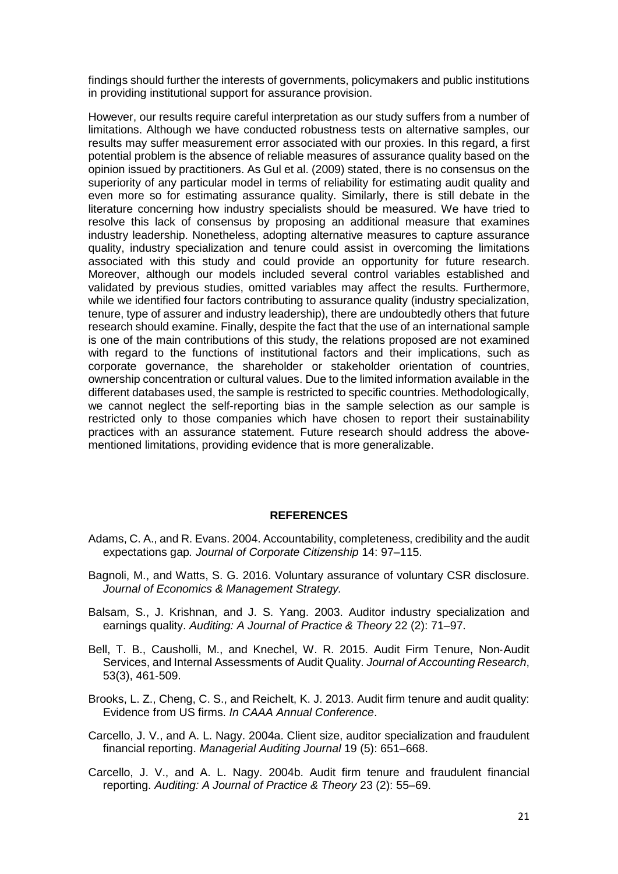findings should further the interests of governments, policymakers and public institutions in providing institutional support for assurance provision.

However, our results require careful interpretation as our study suffers from a number of limitations. Although we have conducted robustness tests on alternative samples, our results may suffer measurement error associated with our proxies. In this regard, a first potential problem is the absence of reliable measures of assurance quality based on the opinion issued by practitioners. As Gul et al. (2009) stated, there is no consensus on the superiority of any particular model in terms of reliability for estimating audit quality and even more so for estimating assurance quality. Similarly, there is still debate in the literature concerning how industry specialists should be measured. We have tried to resolve this lack of consensus by proposing an additional measure that examines industry leadership. Nonetheless, adopting alternative measures to capture assurance quality, industry specialization and tenure could assist in overcoming the limitations associated with this study and could provide an opportunity for future research. Moreover, although our models included several control variables established and validated by previous studies, omitted variables may affect the results. Furthermore, while we identified four factors contributing to assurance quality (industry specialization, tenure, type of assurer and industry leadership), there are undoubtedly others that future research should examine. Finally, despite the fact that the use of an international sample is one of the main contributions of this study, the relations proposed are not examined with regard to the functions of institutional factors and their implications, such as corporate governance, the shareholder or stakeholder orientation of countries, ownership concentration or cultural values. Due to the limited information available in the different databases used, the sample is restricted to specific countries. Methodologically, we cannot neglect the self-reporting bias in the sample selection as our sample is restricted only to those companies which have chosen to report their sustainability practices with an assurance statement. Future research should address the abovementioned limitations, providing evidence that is more generalizable.

#### **REFERENCES**

- Adams, C. A., and R. Evans. 2004. Accountability, completeness, credibility and the audit expectations gap*. Journal of Corporate Citizenship* 14: 97–115.
- Bagnoli, M., and Watts, S. G. 2016. Voluntary assurance of voluntary CSR disclosure. *Journal of Economics & Management Strategy.*
- Balsam, S., J. Krishnan, and J. S. Yang. 2003. Auditor industry specialization and earnings quality. *Auditing: A Journal of Practice & Theory* 22 (2): 71–97.
- Bell, T. B., Causholli, M., and Knechel, W. R. 2015. Audit Firm Tenure, Non‐Audit Services, and Internal Assessments of Audit Quality. *Journal of Accounting Research*, 53(3), 461-509.
- Brooks, L. Z., Cheng, C. S., and Reichelt, K. J. 2013. Audit firm tenure and audit quality: Evidence from US firms. *In CAAA Annual Conference*.
- Carcello, J. V., and A. L. Nagy. 2004a. Client size, auditor specialization and fraudulent financial reporting. *Managerial Auditing Journal* 19 (5): 651–668.
- Carcello, J. V., and A. L. Nagy. 2004b. Audit firm tenure and fraudulent financial reporting. *Auditing: A Journal of Practice & Theory* 23 (2): 55–69.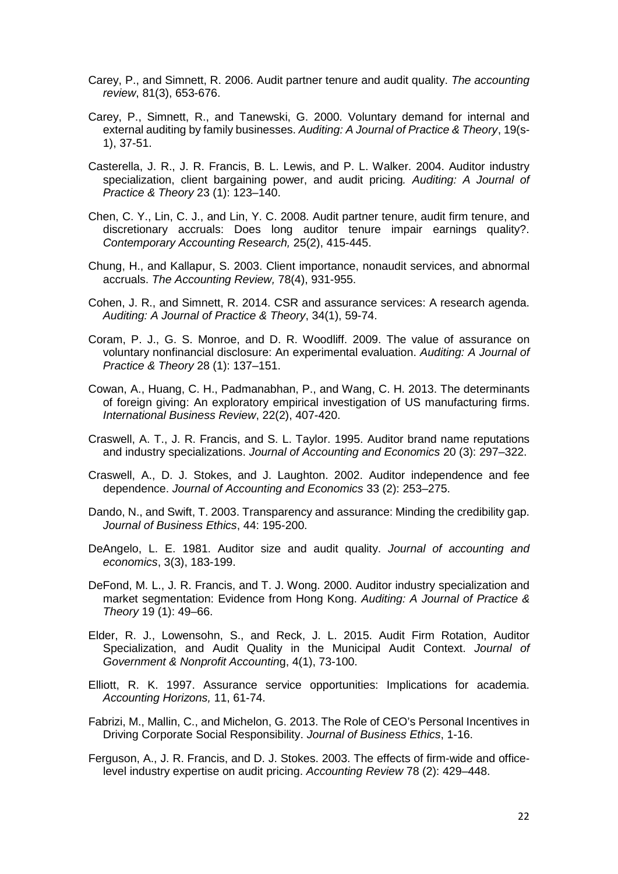- Carey, P., and Simnett, R. 2006. Audit partner tenure and audit quality. *The accounting review*, 81(3), 653-676.
- Carey, P., Simnett, R., and Tanewski, G. 2000. Voluntary demand for internal and external auditing by family businesses. *Auditing: A Journal of Practice & Theory*, 19(s-1), 37-51.
- Casterella, J. R., J. R. Francis, B. L. Lewis, and P. L. Walker. 2004. Auditor industry specialization, client bargaining power, and audit pricing*. Auditing: A Journal of Practice & Theory* 23 (1): 123–140.
- Chen, C. Y., Lin, C. J., and Lin, Y. C. 2008. Audit partner tenure, audit firm tenure, and discretionary accruals: Does long auditor tenure impair earnings quality?. *Contemporary Accounting Research,* 25(2), 415-445.
- Chung, H., and Kallapur, S. 2003. Client importance, nonaudit services, and abnormal accruals. *The Accounting Review,* 78(4), 931-955.
- Cohen, J. R., and Simnett, R. 2014. CSR and assurance services: A research agenda. *Auditing: A Journal of Practice & Theory*, 34(1), 59-74.
- Coram, P. J., G. S. Monroe, and D. R. Woodliff. 2009. The value of assurance on voluntary nonfinancial disclosure: An experimental evaluation. *Auditing: A Journal of Practice & Theory* 28 (1): 137–151.
- Cowan, A., Huang, C. H., Padmanabhan, P., and Wang, C. H. 2013. The determinants of foreign giving: An exploratory empirical investigation of US manufacturing firms. *International Business Review*, 22(2), 407-420.
- Craswell, A. T., J. R. Francis, and S. L. Taylor. 1995. Auditor brand name reputations and industry specializations. *Journal of Accounting and Economics* 20 (3): 297–322.
- Craswell, A., D. J. Stokes, and J. Laughton. 2002. Auditor independence and fee dependence. *Journal of Accounting and Economics* 33 (2): 253–275.
- Dando, N., and Swift, T. 2003. Transparency and assurance: Minding the credibility gap. *Journal of Business Ethics*, 44: 195-200.
- DeAngelo, L. E. 1981. Auditor size and audit quality. *Journal of accounting and economics*, 3(3), 183-199.
- DeFond, M. L., J. R. Francis, and T. J. Wong. 2000. Auditor industry specialization and market segmentation: Evidence from Hong Kong. *Auditing: A Journal of Practice & Theory* 19 (1): 49–66.
- Elder, R. J., Lowensohn, S., and Reck, J. L. 2015. Audit Firm Rotation, Auditor Specialization, and Audit Quality in the Municipal Audit Context. *Journal of Government & Nonprofit Accountin*g, 4(1), 73-100.
- Elliott, R. K. 1997. Assurance service opportunities: Implications for academia. *Accounting Horizons,* 11, 61-74.
- Fabrizi, M., Mallin, C., and Michelon, G. 2013. The Role of CEO's Personal Incentives in Driving Corporate Social Responsibility. *Journal of Business Ethics*, 1-16.
- Ferguson, A., J. R. Francis, and D. J. Stokes. 2003. The effects of firm-wide and officelevel industry expertise on audit pricing. *Accounting Review* 78 (2): 429–448.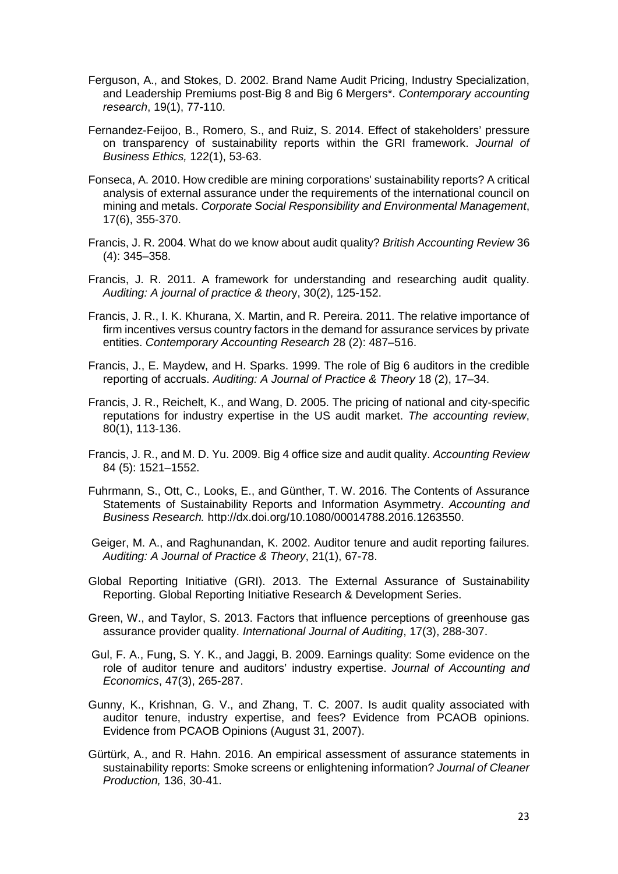- Ferguson, A., and Stokes, D. 2002. Brand Name Audit Pricing, Industry Specialization, and Leadership Premiums post‐Big 8 and Big 6 Mergers\*. *Contemporary accounting research*, 19(1), 77-110.
- Fernandez-Feijoo, B., Romero, S., and Ruiz, S. 2014. Effect of stakeholders' pressure on transparency of sustainability reports within the GRI framework. *Journal of Business Ethics,* 122(1), 53-63.
- Fonseca, A. 2010. How credible are mining corporations' sustainability reports? A critical analysis of external assurance under the requirements of the international council on mining and metals. *Corporate Social Responsibility and Environmental Management*, 17(6), 355-370.
- Francis, J. R. 2004. What do we know about audit quality? *British Accounting Review* 36 (4): 345–358.
- Francis, J. R. 2011. A framework for understanding and researching audit quality. *Auditing: A journal of practice & theor*y, 30(2), 125-152.
- Francis, J. R., I. K. Khurana, X. Martin, and R. Pereira. 2011. The relative importance of firm incentives versus country factors in the demand for assurance services by private entities. *Contemporary Accounting Research* 28 (2): 487–516.
- Francis, J., E. Maydew, and H. Sparks. 1999. The role of Big 6 auditors in the credible reporting of accruals. *Auditing: A Journal of Practice & Theory* 18 (2), 17–34.
- Francis, J. R., Reichelt, K., and Wang, D. 2005. The pricing of national and city-specific reputations for industry expertise in the US audit market. *The accounting review*, 80(1), 113-136.
- Francis, J. R., and M. D. Yu. 2009. Big 4 office size and audit quality. *Accounting Review* 84 (5): 1521–1552.
- Fuhrmann, S., Ott, C., Looks, E., and Günther, T. W. 2016. The Contents of Assurance Statements of Sustainability Reports and Information Asymmetry. *Accounting and Business Research.* [http://dx.doi.org/10.1080/00014788.2016.1263550.](http://dx.doi.org/10.1080/00014788.2016.1263550)
- Geiger, M. A., and Raghunandan, K. 2002. Auditor tenure and audit reporting failures. *Auditing: A Journal of Practice & Theory*, 21(1), 67-78.
- Global Reporting Initiative (GRI). 2013. The External Assurance of Sustainability Reporting. Global Reporting Initiative Research & Development Series.
- Green, W., and Taylor, S. 2013. Factors that influence perceptions of greenhouse gas assurance provider quality. *International Journal of Auditing*, 17(3), 288-307.
- Gul, F. A., Fung, S. Y. K., and Jaggi, B. 2009. Earnings quality: Some evidence on the role of auditor tenure and auditors' industry expertise. *Journal of Accounting and Economics*, 47(3), 265-287.
- Gunny, K., Krishnan, G. V., and Zhang, T. C. 2007. Is audit quality associated with auditor tenure, industry expertise, and fees? Evidence from PCAOB opinions. Evidence from PCAOB Opinions (August 31, 2007).
- Gürtürk, A., and R. Hahn. 2016. An empirical assessment of assurance statements in sustainability reports: Smoke screens or enlightening information? *Journal of Cleaner Production,* 136, 30-41.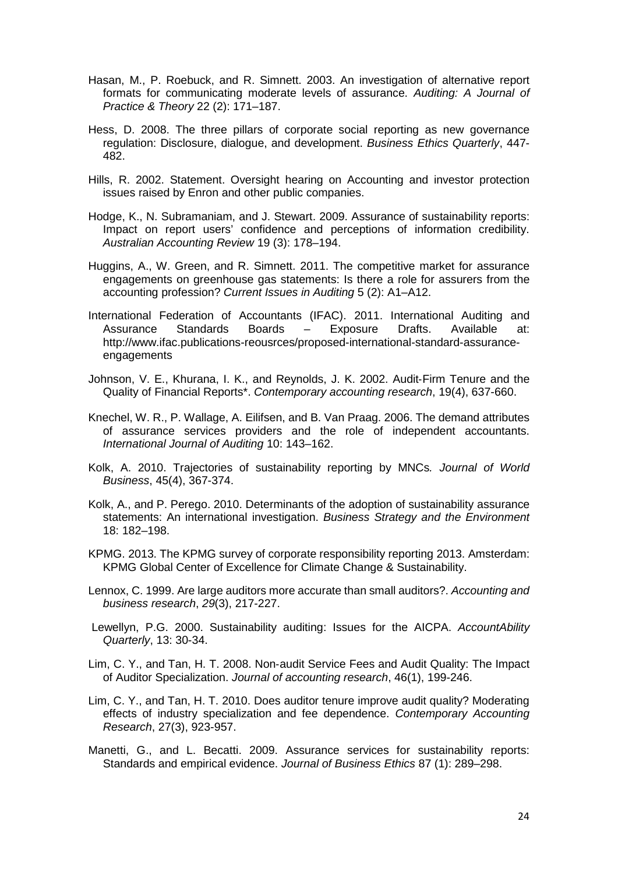- Hasan, M., P. Roebuck, and R. Simnett. 2003. An investigation of alternative report formats for communicating moderate levels of assurance. *Auditing: A Journal of Practice & Theory* 22 (2): 171–187.
- Hess, D. 2008. The three pillars of corporate social reporting as new governance regulation: Disclosure, dialogue, and development. *Business Ethics Quarterly*, 447- 482.
- Hills, R. 2002. Statement. Oversight hearing on Accounting and investor protection issues raised by Enron and other public companies.
- Hodge, K., N. Subramaniam, and J. Stewart. 2009. Assurance of sustainability reports: Impact on report users' confidence and perceptions of information credibility. *Australian Accounting Review* 19 (3): 178–194.
- Huggins, A., W. Green, and R. Simnett. 2011. The competitive market for assurance engagements on greenhouse gas statements: Is there a role for assurers from the accounting profession? *Current Issues in Auditing* 5 (2): A1–A12.
- International Federation of Accountants (IFAC). 2011. International Auditing and Assurance Standards Boards – Exposure Drafts. Available at: http://www.ifac.publications-reousrces/proposed-international-standard-assuranceengagements
- Johnson, V. E., Khurana, I. K., and Reynolds, J. K. 2002. Audit‐Firm Tenure and the Quality of Financial Reports\*. *Contemporary accounting research*, 19(4), 637-660.
- Knechel, W. R., P. Wallage, A. Eilifsen, and B. Van Praag. 2006. The demand attributes of assurance services providers and the role of independent accountants. *International Journal of Auditing* 10: 143–162.
- Kolk, A. 2010. Trajectories of sustainability reporting by MNCs*. Journal of World Business*, 45(4), 367-374.
- Kolk, A., and P. Perego. 2010. Determinants of the adoption of sustainability assurance statements: An international investigation. *Business Strategy and the Environment* 18: 182–198.
- KPMG. 2013. The KPMG survey of corporate responsibility reporting 2013. Amsterdam: KPMG Global Center of Excellence for Climate Change & Sustainability.
- Lennox, C. 1999. Are large auditors more accurate than small auditors?. *Accounting and business research*, *29*(3), 217-227.
- Lewellyn, P.G. 2000. Sustainability auditing: Issues for the AICPA. *AccountAbility Quarterly*, 13: 30-34.
- Lim, C. Y., and Tan, H. T. 2008. Non‐audit Service Fees and Audit Quality: The Impact of Auditor Specialization. *Journal of accounting research*, 46(1), 199-246.
- Lim, C. Y., and Tan, H. T. 2010. Does auditor tenure improve audit quality? Moderating effects of industry specialization and fee dependence. *Contemporary Accounting Research*, 27(3), 923-957.
- Manetti, G., and L. Becatti. 2009. Assurance services for sustainability reports: Standards and empirical evidence. *Journal of Business Ethics* 87 (1): 289–298.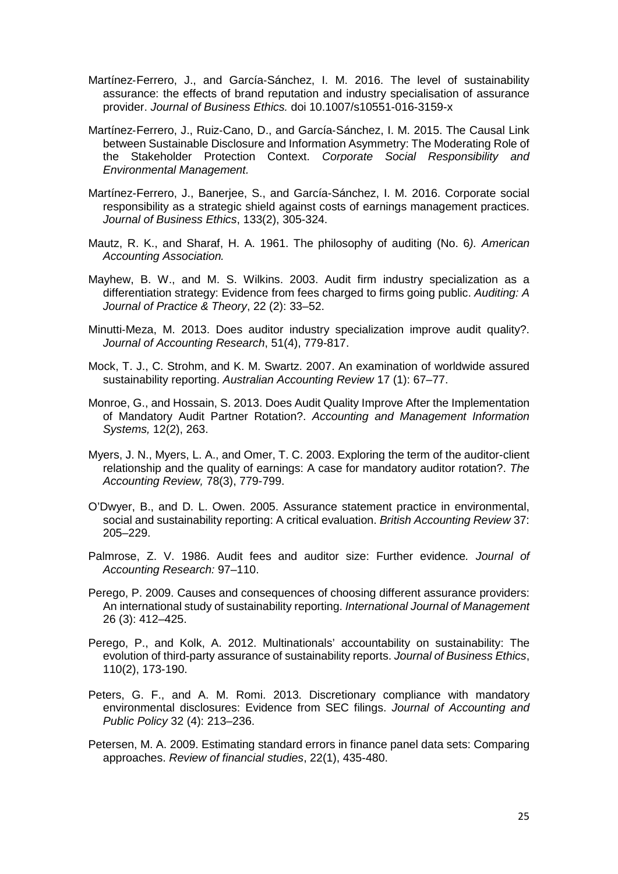- Martínez‐Ferrero, J., and García‐Sánchez, I. M. 2016. The level of sustainability assurance: the effects of brand reputation and industry specialisation of assurance provider. *Journal of Business Ethics.* doi 10.1007/s10551-016-3159-x
- Martínez‐Ferrero, J., Ruiz‐Cano, D., and García‐Sánchez, I. M. 2015. The Causal Link between Sustainable Disclosure and Information Asymmetry: The Moderating Role of the Stakeholder Protection Context. *Corporate Social Responsibility and Environmental Management.*
- Martínez-Ferrero, J., Banerjee, S., and García-Sánchez, I. M. 2016. Corporate social responsibility as a strategic shield against costs of earnings management practices. *Journal of Business Ethics*, 133(2), 305-324.
- Mautz, R. K., and Sharaf, H. A. 1961. The philosophy of auditing (No. 6*). American Accounting Association.*
- Mayhew, B. W., and M. S. Wilkins. 2003. Audit firm industry specialization as a differentiation strategy: Evidence from fees charged to firms going public. *Auditing: A Journal of Practice & Theory*, 22 (2): 33–52.
- Minutti-Meza, M. 2013. Does auditor industry specialization improve audit quality?. *Journal of Accounting Research*, 51(4), 779-817.
- Mock, T. J., C. Strohm, and K. M. Swartz. 2007. An examination of worldwide assured sustainability reporting. *Australian Accounting Review* 17 (1): 67–77.
- Monroe, G., and Hossain, S. 2013. Does Audit Quality Improve After the Implementation of Mandatory Audit Partner Rotation?. *Accounting and Management Information Systems,* 12(2), 263.
- Myers, J. N., Myers, L. A., and Omer, T. C. 2003. Exploring the term of the auditor-client relationship and the quality of earnings: A case for mandatory auditor rotation?. *The Accounting Review,* 78(3), 779-799.
- O'Dwyer, B., and D. L. Owen. 2005. Assurance statement practice in environmental, social and sustainability reporting: A critical evaluation. *British Accounting Review* 37: 205–229.
- Palmrose, Z. V. 1986. Audit fees and auditor size: Further evidence*. Journal of Accounting Research:* 97–110.
- Perego, P. 2009. Causes and consequences of choosing different assurance providers: An international study of sustainability reporting. *International Journal of Management* 26 (3): 412–425.
- Perego, P., and Kolk, A. 2012. Multinationals' accountability on sustainability: The evolution of third-party assurance of sustainability reports. *Journal of Business Ethics*, 110(2), 173-190.
- Peters, G. F., and A. M. Romi. 2013. Discretionary compliance with mandatory environmental disclosures: Evidence from SEC filings. *Journal of Accounting and Public Policy* 32 (4): 213–236.
- Petersen, M. A. 2009. Estimating standard errors in finance panel data sets: Comparing approaches. *Review of financial studies*, 22(1), 435-480.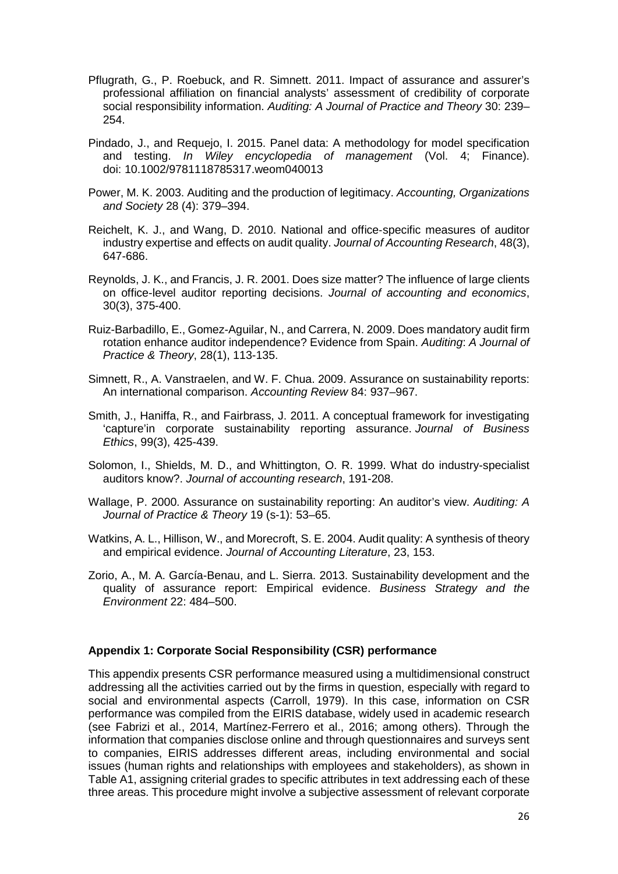- Pflugrath, G., P. Roebuck, and R. Simnett. 2011. Impact of assurance and assurer's professional affiliation on financial analysts' assessment of credibility of corporate social responsibility information. *Auditing: A Journal of Practice and Theory* 30: 239– 254.
- Pindado, J., and Requejo, I. 2015. Panel data: A methodology for model specification and testing. *In Wiley encyclopedia of management* (Vol. 4; Finance). doi: 10.1002/9781118785317.weom040013
- Power, M. K. 2003. Auditing and the production of legitimacy. *Accounting, Organizations and Society* 28 (4): 379–394.
- Reichelt, K. J., and Wang, D. 2010. National and office‐specific measures of auditor industry expertise and effects on audit quality. *Journal of Accounting Research*, 48(3), 647-686.
- Reynolds, J. K., and Francis, J. R. 2001. Does size matter? The influence of large clients on office-level auditor reporting decisions. *Journal of accounting and economics*, 30(3), 375-400.
- Ruiz-Barbadillo, E., Gomez-Aguilar, N., and Carrera, N. 2009. Does mandatory audit firm rotation enhance auditor independence? Evidence from Spain. *Auditing*: *A Journal of Practice & Theory*, 28(1), 113-135.
- Simnett, R., A. Vanstraelen, and W. F. Chua. 2009. Assurance on sustainability reports: An international comparison. *Accounting Review* 84: 937–967.
- Smith, J., Haniffa, R., and Fairbrass, J. 2011. A conceptual framework for investigating 'capture'in corporate sustainability reporting assurance. *Journal of Business Ethics*, 99(3), 425-439.
- Solomon, I., Shields, M. D., and Whittington, O. R. 1999. What do industry-specialist auditors know?. *Journal of accounting research*, 191-208.
- Wallage, P. 2000. Assurance on sustainability reporting: An auditor's view. *Auditing: A Journal of Practice & Theory* 19 (s-1): 53–65.
- Watkins, A. L., Hillison, W., and Morecroft, S. E. 2004. Audit quality: A synthesis of theory and empirical evidence. *Journal of Accounting Literature*, 23, 153.
- Zorio, A., M. A. García-Benau, and L. Sierra. 2013. Sustainability development and the quality of assurance report: Empirical evidence. *Business Strategy and the Environment* 22: 484–500.

### **Appendix 1: Corporate Social Responsibility (CSR) performance**

This appendix presents CSR performance measured using a multidimensional construct addressing all the activities carried out by the firms in question, especially with regard to social and environmental aspects (Carroll, 1979). In this case, information on CSR performance was compiled from the EIRIS database, widely used in academic research (see Fabrizi et al., 2014, Martínez-Ferrero et al., 2016; among others). Through the information that companies disclose online and through questionnaires and surveys sent to companies, EIRIS addresses different areas, including environmental and social issues (human rights and relationships with employees and stakeholders), as shown in Table A1, assigning criterial grades to specific attributes in text addressing each of these three areas. This procedure might involve a subjective assessment of relevant corporate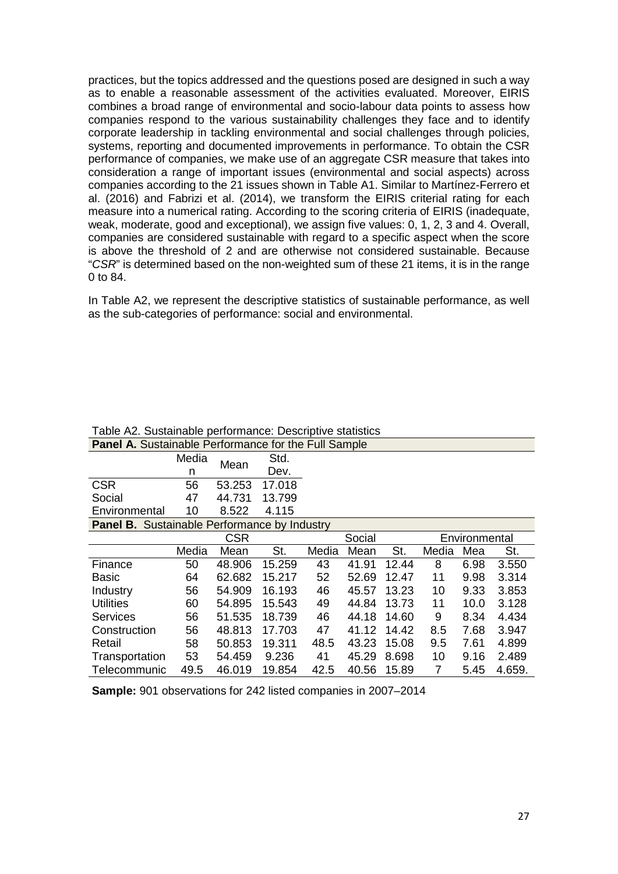practices, but the topics addressed and the questions posed are designed in such a way as to enable a reasonable assessment of the activities evaluated. Moreover, EIRIS combines a broad range of environmental and socio-labour data points to assess how companies respond to the various sustainability challenges they face and to identify corporate leadership in tackling environmental and social challenges through policies, systems, reporting and documented improvements in performance. To obtain the CSR performance of companies, we make use of an aggregate CSR measure that takes into consideration a range of important issues (environmental and social aspects) across companies according to the 21 issues shown in Table A1. Similar to Martínez-Ferrero et al. (2016) and Fabrizi et al. (2014), we transform the EIRIS criterial rating for each measure into a numerical rating. According to the scoring criteria of EIRIS (inadequate, weak, moderate, good and exceptional), we assign five values: 0, 1, 2, 3 and 4. Overall, companies are considered sustainable with regard to a specific aspect when the score is above the threshold of 2 and are otherwise not considered sustainable. Because "*CSR*" is determined based on the non-weighted sum of these 21 items, it is in the range 0 to 84.

In Table A2, we represent the descriptive statistics of sustainable performance, as well as the sub-categories of performance: social and environmental.

| <b>Panel A.</b> Sustainable Performance for the Full Sample |       |            |        |                         |       |       |       |      |        |
|-------------------------------------------------------------|-------|------------|--------|-------------------------|-------|-------|-------|------|--------|
|                                                             | Media | Mean       | Std.   |                         |       |       |       |      |        |
|                                                             | n     |            | Dev.   |                         |       |       |       |      |        |
| <b>CSR</b>                                                  | 56    | 53.253     | 17.018 |                         |       |       |       |      |        |
| Social                                                      | 47    | 44.731     | 13.799 |                         |       |       |       |      |        |
| Environmental                                               | 10    | 8.522      | 4.115  |                         |       |       |       |      |        |
| <b>Panel B.</b> Sustainable Performance by Industry         |       |            |        |                         |       |       |       |      |        |
|                                                             |       | <b>CSR</b> |        | Social<br>Environmental |       |       |       |      |        |
|                                                             | Media | Mean       | St.    | Media                   | Mean  | St.   | Media | Mea  | St.    |
| Finance                                                     | 50    | 48.906     | 15.259 | 43                      | 41.91 | 12.44 | 8     | 6.98 | 3.550  |
| Basic                                                       | 64    | 62.682     | 15.217 | 52                      | 52.69 | 12.47 | 11    | 9.98 | 3.314  |
| Industry                                                    | 56    | 54.909     | 16.193 | 46                      | 45.57 | 13.23 | 10    | 9.33 | 3.853  |
| <b>Utilities</b>                                            | 60    | 54.895     | 15.543 | 49                      | 44.84 | 13.73 | 11    | 10.0 | 3.128  |
| Services                                                    | 56    | 51.535     | 18.739 | 46                      | 44.18 | 14.60 | 9     | 8.34 | 4.434  |
| Construction                                                | 56    | 48.813     | 17.703 | 47                      | 41.12 | 14.42 | 8.5   | 7.68 | 3.947  |
| Retail                                                      | 58    | 50.853     | 19.311 | 48.5                    | 43.23 | 15.08 | 9.5   | 7.61 | 4.899  |
| Transportation                                              | 53    | 54.459     | 9.236  | 41                      | 45.29 | 8.698 | 10    | 9.16 | 2.489  |
| Telecommunic                                                | 49.5  | 46.019     | 19.854 | 42.5                    | 40.56 | 15.89 | 7     | 5.45 | 4.659. |

Table A2. Sustainable performance: Descriptive statistics

**Sample:** 901 observations for 242 listed companies in 2007–2014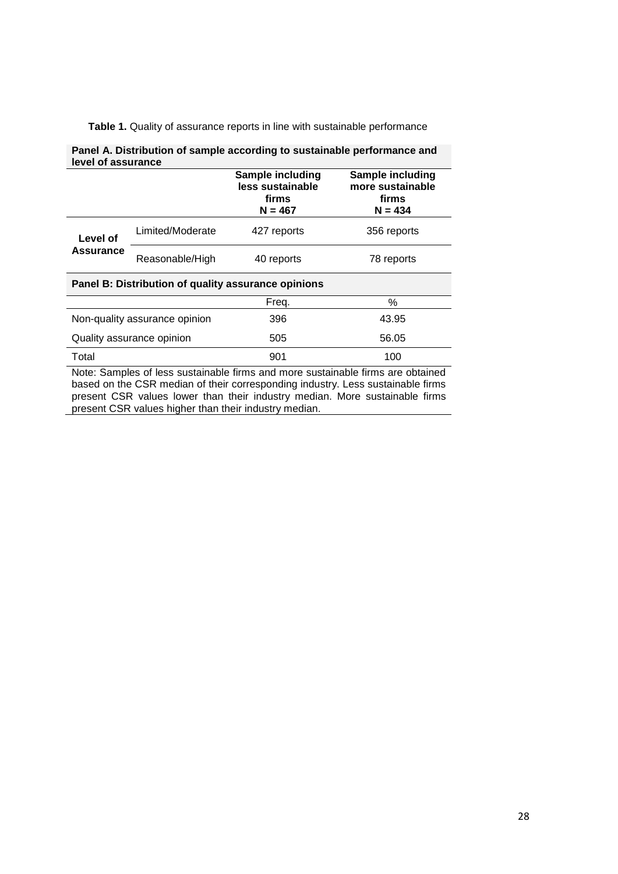|  | Table 1. Quality of assurance reports in line with sustainable performance |  |  |
|--|----------------------------------------------------------------------------|--|--|
|--|----------------------------------------------------------------------------|--|--|

| Panel A. Distribution of sample according to sustainable performance and<br>level of assurance |                                          |                                                            |                                                                 |  |  |  |  |
|------------------------------------------------------------------------------------------------|------------------------------------------|------------------------------------------------------------|-----------------------------------------------------------------|--|--|--|--|
|                                                                                                |                                          | Sample including<br>less sustainable<br>firms<br>$N = 467$ | Sample including<br>more sustainable<br>firms<br>$N = 434$      |  |  |  |  |
| Level of<br>Assurance                                                                          | Limited/Moderate                         | 427 reports                                                | 356 reports                                                     |  |  |  |  |
|                                                                                                | Reasonable/High                          | 40 reports                                                 | 78 reports                                                      |  |  |  |  |
| Panel B: Distribution of quality assurance opinions                                            |                                          |                                                            |                                                                 |  |  |  |  |
|                                                                                                |                                          | Freq.                                                      | $\%$                                                            |  |  |  |  |
|                                                                                                | Non-quality assurance opinion            | 396                                                        | 43.95                                                           |  |  |  |  |
|                                                                                                | Quality assurance opinion                | 505                                                        | 56.05                                                           |  |  |  |  |
| Total                                                                                          | Matar Osmalas af laga arratabashla fimos | 901<br>من ال                                               | 100<br>المتحاول والمتقاط والمتحدث والمتحافظ والمارون والمتحاولة |  |  |  |  |

Note: Samples of less sustainable firms and more sustainable firms are obtained based on the CSR median of their corresponding industry. Less sustainable firms present CSR values lower than their industry median. More sustainable firms present CSR values higher than their industry median.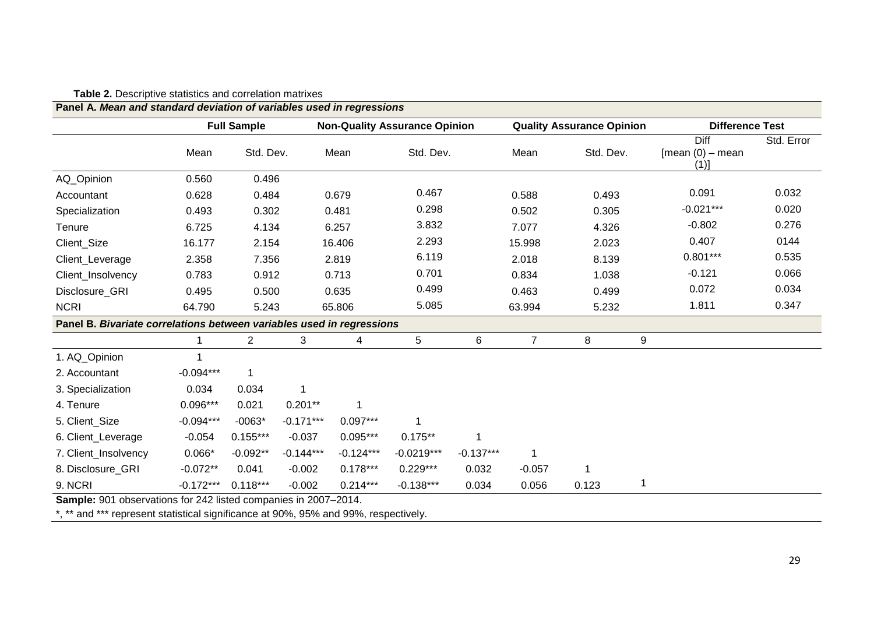| Panel A. Mean and standard deviation of variables used in regressions |             |                    |             |                                      |              |             |                                  |           |                                     |                        |  |
|-----------------------------------------------------------------------|-------------|--------------------|-------------|--------------------------------------|--------------|-------------|----------------------------------|-----------|-------------------------------------|------------------------|--|
|                                                                       |             | <b>Full Sample</b> |             | <b>Non-Quality Assurance Opinion</b> |              |             | <b>Quality Assurance Opinion</b> |           |                                     | <b>Difference Test</b> |  |
|                                                                       | Mean        | Std. Dev.          |             | Mean                                 | Std. Dev.    |             | Mean                             | Std. Dev. | Diff<br>$[mean (0) - mean]$<br>(1)] | Std. Error             |  |
| AQ_Opinion                                                            | 0.560       | 0.496              |             |                                      |              |             |                                  |           |                                     |                        |  |
| Accountant                                                            | 0.628       | 0.484              |             | 0.679                                | 0.467        |             | 0.588                            | 0.493     | 0.091                               | 0.032                  |  |
| Specialization                                                        | 0.493       | 0.302              |             | 0.481                                | 0.298        |             | 0.502                            | 0.305     | $-0.021***$                         | 0.020                  |  |
| Tenure                                                                | 6.725       | 4.134              |             | 6.257                                | 3.832        |             | 7.077                            | 4.326     | $-0.802$                            | 0.276                  |  |
| Client_Size                                                           | 16.177      | 2.154              |             | 16.406                               | 2.293        |             | 15.998                           | 2.023     | 0.407                               | 0144                   |  |
| Client_Leverage                                                       | 2.358       | 7.356              |             | 2.819                                | 6.119        |             | 2.018                            | 8.139     | $0.801***$                          | 0.535                  |  |
| Client_Insolvency                                                     | 0.783       | 0.912              |             | 0.713                                | 0.701        |             | 0.834                            | 1.038     | $-0.121$                            | 0.066                  |  |
| Disclosure GRI                                                        | 0.495       | 0.500              |             | 0.635                                | 0.499        |             | 0.463                            | 0.499     | 0.072                               | 0.034                  |  |
| <b>NCRI</b>                                                           | 64.790      | 5.243              |             | 65.806                               | 5.085        |             | 63.994                           | 5.232     | 1.811                               | 0.347                  |  |
| Panel B. Bivariate correlations between variables used in regressions |             |                    |             |                                      |              |             |                                  |           |                                     |                        |  |
|                                                                       | 1           | $\overline{c}$     | 3           | 4                                    | 5            | 6           | $\overline{7}$                   | 8         | 9                                   |                        |  |
| 1. AQ_Opinion                                                         |             |                    |             |                                      |              |             |                                  |           |                                     |                        |  |
| 2. Accountant                                                         | $-0.094***$ |                    |             |                                      |              |             |                                  |           |                                     |                        |  |
| 3. Specialization                                                     | 0.034       | 0.034              | 1           |                                      |              |             |                                  |           |                                     |                        |  |
| 4. Tenure                                                             | $0.096***$  | 0.021              | $0.201**$   | 1                                    |              |             |                                  |           |                                     |                        |  |
| 5. Client_Size                                                        | $-0.094***$ | $-0063*$           | $-0.171***$ | $0.097***$                           |              |             |                                  |           |                                     |                        |  |
| 6. Client_Leverage                                                    | $-0.054$    | $0.155***$         | $-0.037$    | $0.095***$                           | $0.175**$    | 1           |                                  |           |                                     |                        |  |
| 7. Client_Insolvency                                                  | $0.066*$    | $-0.092**$         | $-0.144***$ | $-0.124***$                          | $-0.0219***$ | $-0.137***$ |                                  |           |                                     |                        |  |
| 8. Disclosure GRI                                                     | $-0.072**$  | 0.041              | $-0.002$    | $0.178***$                           | $0.229***$   | 0.032       | $-0.057$                         |           |                                     |                        |  |
| 9. NCRI                                                               | $-0.172***$ | $0.118***$         | $-0.002$    | $0.214***$                           | $-0.138***$  | 0.034       | 0.056                            | 0.123     |                                     |                        |  |

#### **Table 2.** Descriptive statistics and correlation matrixes

**Sample:** 901 observations for 242 listed companies in 2007–2014.

\*, \*\* and \*\*\* represent statistical significance at 90%, 95% and 99%, respectively.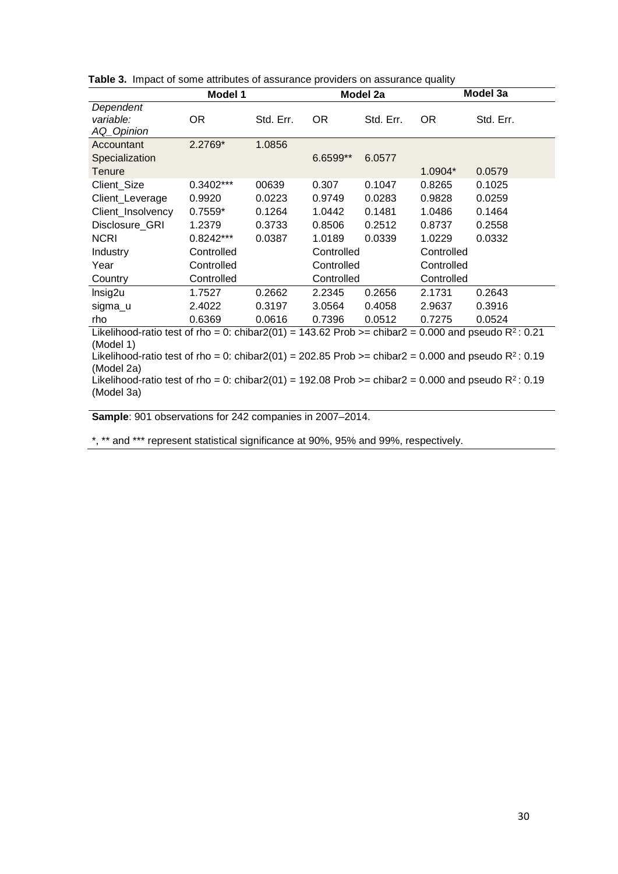|                                                                                                        | Model 1<br>Model 2a |           |            | Model 3a  |            |           |  |
|--------------------------------------------------------------------------------------------------------|---------------------|-----------|------------|-----------|------------|-----------|--|
| Dependent                                                                                              |                     |           |            |           |            |           |  |
| variable:                                                                                              | OR.                 | Std. Err. | OR.        | Std. Err. | OR.        | Std. Err. |  |
| AQ_Opinion                                                                                             |                     |           |            |           |            |           |  |
| Accountant                                                                                             | 2.2769*             | 1.0856    |            |           |            |           |  |
| Specialization                                                                                         |                     |           | 6.6599**   | 6.0577    |            |           |  |
| Tenure                                                                                                 |                     |           |            |           | $1.0904*$  | 0.0579    |  |
| Client_Size                                                                                            | 0.3402***           | 00639     | 0.307      | 0.1047    | 0.8265     | 0.1025    |  |
| Client_Leverage                                                                                        | 0.9920              | 0.0223    | 0.9749     | 0.0283    | 0.9828     | 0.0259    |  |
| Client_Insolvency                                                                                      | $0.7559*$           | 0.1264    | 1.0442     | 0.1481    | 1.0486     | 0.1464    |  |
| Disclosure_GRI                                                                                         | 1.2379              | 0.3733    | 0.8506     | 0.2512    | 0.8737     | 0.2558    |  |
| <b>NCRI</b>                                                                                            | 0.8242***           | 0.0387    | 1.0189     | 0.0339    | 1.0229     | 0.0332    |  |
| <b>Industry</b>                                                                                        | Controlled          |           | Controlled |           | Controlled |           |  |
| Year                                                                                                   | Controlled          |           | Controlled |           | Controlled |           |  |
| Country                                                                                                | Controlled          |           | Controlled |           | Controlled |           |  |
| Insig2u                                                                                                | 1.7527              | 0.2662    | 2.2345     | 0.2656    | 2.1731     | 0.2643    |  |
| sigma_u                                                                                                | 2.4022              | 0.3197    | 3.0564     | 0.4058    | 2.9637     | 0.3916    |  |
| rho                                                                                                    | 0.6369              | 0.0616    | 0.7396     | 0.0512    | 0.7275     | 0.0524    |  |
| Likelihood-ratio test of rho = 0: chibar2(01) = 143.62 Prob >= chibar2 = 0.000 and pseudo $R^2$ : 0.21 |                     |           |            |           |            |           |  |
| (Model 1)                                                                                              |                     |           |            |           |            |           |  |
| Likelihood-ratio test of rho = 0: chibar2(01) = 202.85 Prob >= chibar2 = 0.000 and pseudo $R^2$ : 0.19 |                     |           |            |           |            |           |  |
| (Model 2a)                                                                                             |                     |           |            |           |            |           |  |
| Likelihood-ratio test of rho = 0: chibar2(01) = 192.08 Prob >= chibar2 = 0.000 and pseudo $R^2$ : 0.19 |                     |           |            |           |            |           |  |
| (Model 3a)                                                                                             |                     |           |            |           |            |           |  |

|  | Table 3. Impact of some attributes of assurance providers on assurance quality |  |  |  |  |  |
|--|--------------------------------------------------------------------------------|--|--|--|--|--|
|--|--------------------------------------------------------------------------------|--|--|--|--|--|

**Sample**: 901 observations for 242 companies in 2007–2014.

\*, \*\* and \*\*\* represent statistical significance at 90%, 95% and 99%, respectively.